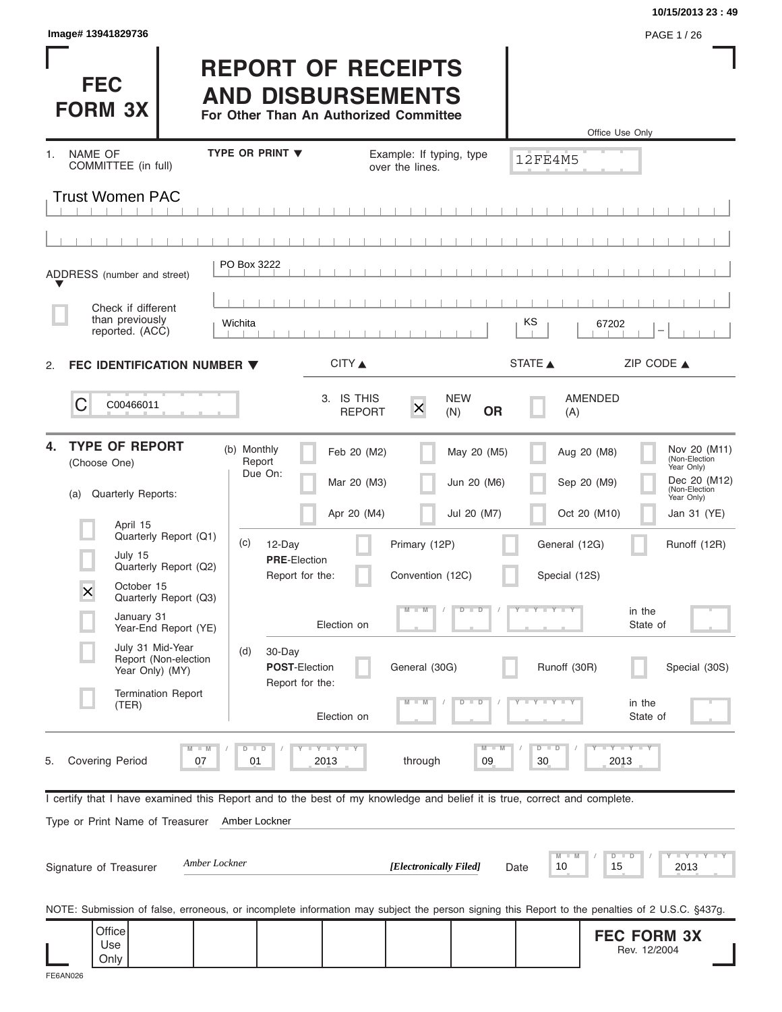| Image# 13941829736                                                                                                                                         |                                                                                                 |                                           |                                           |                                            | 10/15/2013 23:49<br>PAGE 1/26                                                                             |
|------------------------------------------------------------------------------------------------------------------------------------------------------------|-------------------------------------------------------------------------------------------------|-------------------------------------------|-------------------------------------------|--------------------------------------------|-----------------------------------------------------------------------------------------------------------|
| <b>FEC</b><br><b>FORM 3X</b>                                                                                                                               | <b>REPORT OF RECEIPTS</b><br><b>AND DISBURSEMENTS</b><br>For Other Than An Authorized Committee |                                           |                                           | Office Use Only                            |                                                                                                           |
| NAME OF<br>1.                                                                                                                                              | <b>TYPE OR PRINT ▼</b>                                                                          | Example: If typing, type                  |                                           | 12FE4M5                                    |                                                                                                           |
| COMMITTEE (in full)                                                                                                                                        |                                                                                                 | over the lines.                           |                                           |                                            |                                                                                                           |
| <b>Trust Women PAC</b>                                                                                                                                     |                                                                                                 |                                           |                                           |                                            |                                                                                                           |
|                                                                                                                                                            |                                                                                                 |                                           |                                           |                                            |                                                                                                           |
| ADDRESS (number and street)                                                                                                                                | PO Box 3222                                                                                     |                                           |                                           |                                            |                                                                                                           |
| Check if different                                                                                                                                         |                                                                                                 |                                           |                                           |                                            |                                                                                                           |
| than previously<br>reported. (ACC)                                                                                                                         | Wichita                                                                                         |                                           |                                           | KS<br>67202                                |                                                                                                           |
| FEC IDENTIFICATION NUMBER ▼<br>2.                                                                                                                          | CITY ▲                                                                                          |                                           |                                           | STATE A                                    | ZIP CODE $\triangle$                                                                                      |
| C<br>C00466011                                                                                                                                             | 3. IS THIS                                                                                      | $\mathsf{\overline{X}}$<br><b>REPORT</b>  | <b>NEW</b><br><b>OR</b><br>(N)            | AMENDED<br>(A)                             |                                                                                                           |
| <b>TYPE OF REPORT</b><br>4.<br>(Choose One)<br>Quarterly Reports:<br>(a)                                                                                   | (b) Monthly<br>Report<br>Due On:                                                                | Feb 20 (M2)<br>Mar 20 (M3)<br>Apr 20 (M4) | May 20 (M5)<br>Jun 20 (M6)<br>Jul 20 (M7) | Aug 20 (M8)<br>Sep 20 (M9)<br>Oct 20 (M10) | Nov 20 (M11)<br>(Non-Election<br>Year Only)<br>Dec 20 (M12)<br>(Non-Election<br>Year Only)<br>Jan 31 (YE) |
| April 15<br>Quarterly Report (Q1)<br>July 15<br>Quarterly Report (Q2)                                                                                      | (c)<br>12-Day<br><b>PRE-Election</b>                                                            | Primary (12P)                             |                                           | General (12G)                              | Runoff (12R)                                                                                              |
| October 15<br>$\times$<br>Quarterly Report (Q3)<br>January 31                                                                                              | Report for the:<br>Election on                                                                  | Convention (12C)<br>$\blacksquare$        | $D$ $D$                                   | Special (12S)<br>Y FY LY                   | in the<br>State of                                                                                        |
| Year-End Report (YE)<br>July 31 Mid-Year<br>Report (Non-election<br>Year Only) (MY)                                                                        | (d)<br>30-Day<br><b>POST-Election</b>                                                           | General (30G)                             |                                           | Runoff (30R)                               | Special (30S)                                                                                             |
| <b>Termination Report</b><br>(TER)                                                                                                                         | Report for the:<br>Election on                                                                  |                                           | $\overline{\phantom{0}}$<br>ъ             |                                            | in the<br>State of                                                                                        |
| $M - M$<br><b>Covering Period</b><br>5.<br>07                                                                                                              | $T - Y = T - Y$<br>$\Box$<br>D<br>01<br>2013                                                    | through                                   | $M - M$<br>09                             | $D$ $D$<br>30<br>2013                      | $-Y - Y - Y$                                                                                              |
| I certify that I have examined this Report and to the best of my knowledge and belief it is true, correct and complete.<br>Type or Print Name of Treasurer | Amber Lockner                                                                                   |                                           |                                           |                                            |                                                                                                           |
| Amber Lockner<br>Signature of Treasurer                                                                                                                    |                                                                                                 | [Electronically Filed]                    | Date                                      | $M - M$<br>$D$ $D$<br>10<br>15             | $\overline{Y}$ $\overline{Y}$ $\overline{Y}$ $\overline{Y}$ $\overline{Y}$ $\overline{Y}$<br>2013         |
| NOTE: Submission of false, erroneous, or incomplete information may subject the person signing this Report to the penalties of 2 U.S.C. §437g.             |                                                                                                 |                                           |                                           |                                            |                                                                                                           |
| Office<br>Use<br>Only                                                                                                                                      |                                                                                                 |                                           |                                           |                                            | <b>FEC FORM 3X</b><br>Rev. 12/2004                                                                        |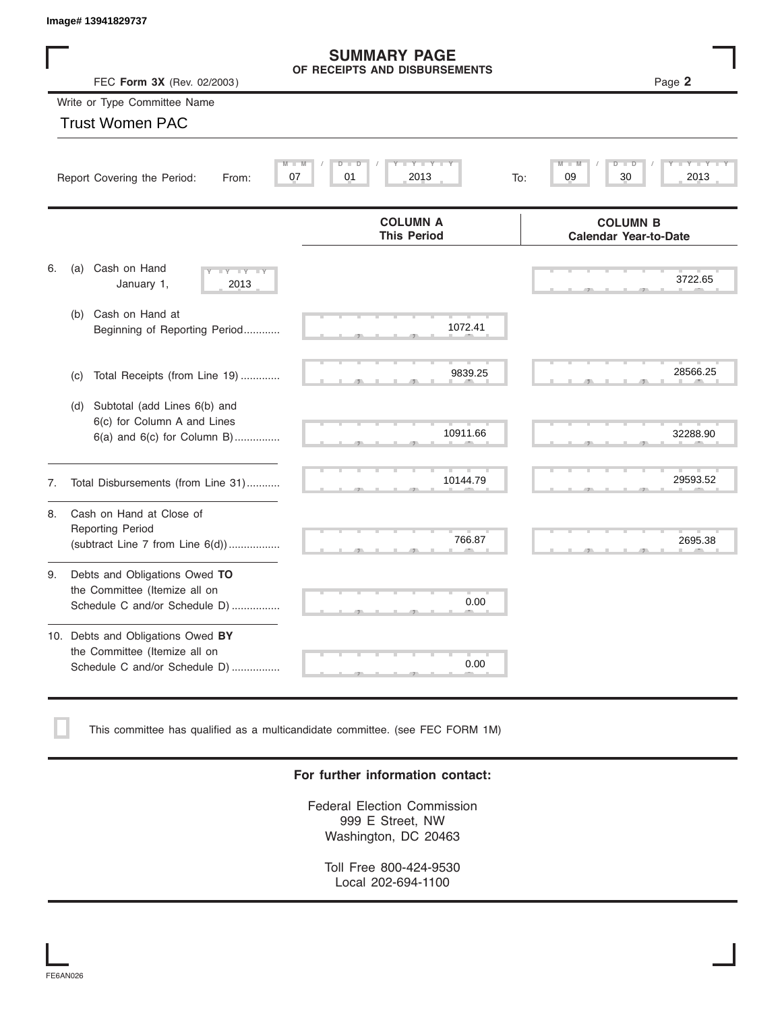|    | Image# 13941829737                                                                                    |                                                           |                                                 |
|----|-------------------------------------------------------------------------------------------------------|-----------------------------------------------------------|-------------------------------------------------|
|    | FEC Form 3X (Rev. 02/2003)                                                                            | <b>SUMMARY PAGE</b><br>OF RECEIPTS AND DISBURSEMENTS      | Page 2                                          |
|    | Write or Type Committee Name                                                                          |                                                           |                                                 |
|    | <b>Trust Women PAC</b>                                                                                |                                                           |                                                 |
|    | Report Covering the Period:<br>From:                                                                  | $M -$<br>D<br>Y TY T<br>M<br>D<br>07<br>01<br>2013<br>To: | 09<br>30<br>2013                                |
|    |                                                                                                       | <b>COLUMN A</b><br><b>This Period</b>                     | <b>COLUMN B</b><br><b>Calendar Year-to-Date</b> |
| 6. | Cash on Hand<br>(a)<br>$-Y - Y - Y$<br>January 1,<br>2013                                             |                                                           | 3722.65                                         |
|    | Cash on Hand at<br>(b)<br>Beginning of Reporting Period                                               | 1072.41                                                   |                                                 |
|    | Total Receipts (from Line 19)<br>(c)                                                                  | 9839.25                                                   | 28566.25                                        |
|    | Subtotal (add Lines 6(b) and<br>(d)<br>6(c) for Column A and Lines<br>$6(a)$ and $6(c)$ for Column B) | 10911.66                                                  | 32288.90                                        |
| 7. | Total Disbursements (from Line 31)                                                                    | 10144.79                                                  | 29593.52                                        |
| 8. | Cash on Hand at Close of<br><b>Reporting Period</b><br>(subtract Line $7$ from Line $6(d)$ )          | 766.87                                                    | 2695.38                                         |
| 9. | Debts and Obligations Owed TO<br>the Committee (Itemize all on<br>Schedule C and/or Schedule D)       | 0.00                                                      |                                                 |
|    | 10. Debts and Obligations Owed BY<br>the Committee (Itemize all on<br>Schedule C and/or Schedule D)   | T<br>0.00                                                 |                                                 |

This committee has qualified as a multicandidate committee. (see FEC FORM 1M)

### **For further information contact:**

Federal Election Commission 999 E Street, NW Washington, DC 20463

Toll Free 800-424-9530 Local 202-694-1100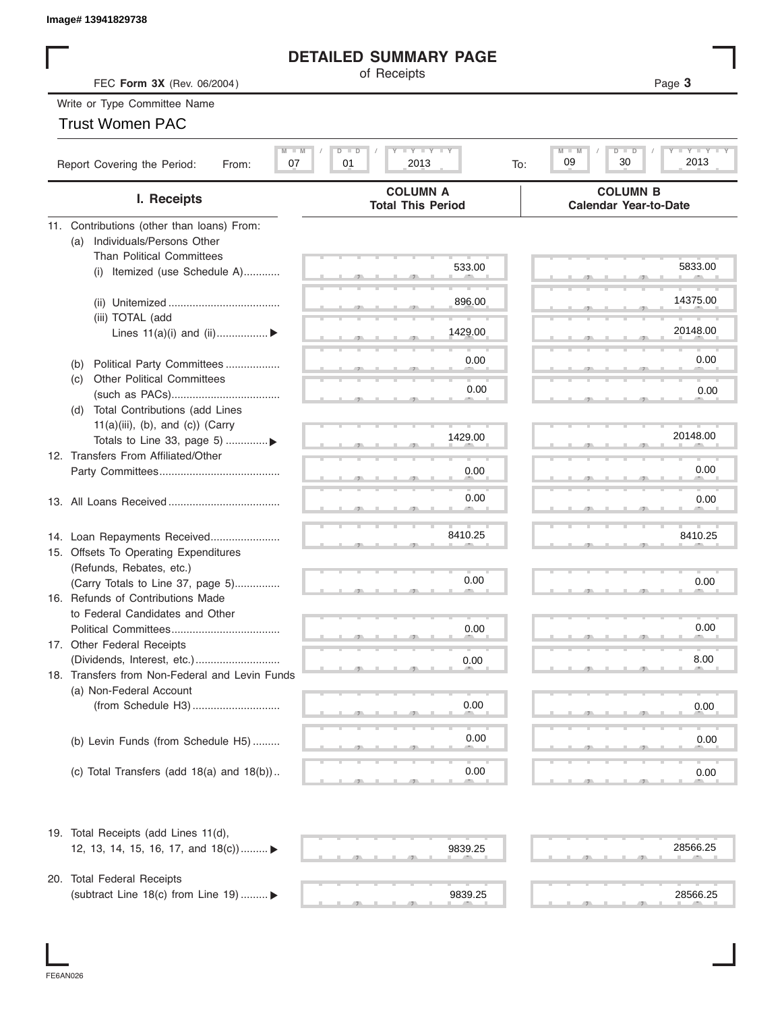## **DETAILED SUMMARY PAGE**

| Image# 13941829738                                                    |                                                 |                                                 |
|-----------------------------------------------------------------------|-------------------------------------------------|-------------------------------------------------|
|                                                                       | <b>DETAILED SUMMARY PAGE</b>                    |                                                 |
| FEC Form 3X (Rev. 06/2004)                                            | of Receipts                                     | Page 3                                          |
| Write or Type Committee Name                                          |                                                 |                                                 |
| <b>Trust Women PAC</b>                                                |                                                 |                                                 |
|                                                                       |                                                 |                                                 |
| $M - M$<br>Report Covering the Period:<br>07<br>From:                 | <b>LY LY LY</b><br>$D$ $D$<br>01<br>2013<br>To: | $Y = Y$<br>$M -$<br>D<br>D<br>30<br>2013<br>09  |
| I. Receipts                                                           | <b>COLUMN A</b><br><b>Total This Period</b>     | <b>COLUMN B</b><br><b>Calendar Year-to-Date</b> |
| 11. Contributions (other than loans) From:                            |                                                 |                                                 |
| Individuals/Persons Other<br>(a)                                      |                                                 |                                                 |
| <b>Than Political Committees</b>                                      |                                                 |                                                 |
| Itemized (use Schedule A)<br>(i)                                      | 533.00                                          | 5833.00                                         |
|                                                                       |                                                 |                                                 |
|                                                                       | 896.00                                          | 14375.00                                        |
| (iii) TOTAL (add                                                      |                                                 |                                                 |
| Lines $11(a)(i)$ and $(ii)$                                           | 1429.00                                         | 20148.00                                        |
|                                                                       |                                                 | 0.00                                            |
| Political Party Committees<br>(b)                                     | 0.00                                            |                                                 |
| <b>Other Political Committees</b><br>(C)                              | 0.00                                            | 0.00                                            |
|                                                                       |                                                 |                                                 |
| (d) Total Contributions (add Lines                                    |                                                 |                                                 |
| $11(a)(iii)$ , (b), and (c)) (Carry<br>Totals to Line 33, page 5) ▶   | 1429.00                                         | 20148.00                                        |
| 12. Transfers From Affiliated/Other                                   |                                                 |                                                 |
|                                                                       | 0.00                                            | 0.00                                            |
|                                                                       |                                                 |                                                 |
|                                                                       | 0.00                                            | 0.00                                            |
|                                                                       |                                                 |                                                 |
|                                                                       | 8410.25                                         | 8410.25                                         |
| 14. Loan Repayments Received<br>15. Offsets To Operating Expenditures |                                                 |                                                 |
| (Refunds, Rebates, etc.)                                              |                                                 |                                                 |
| (Carry Totals to Line 37, page 5)                                     | 0.00                                            | 0.00                                            |
| 16. Refunds of Contributions Made                                     |                                                 |                                                 |
| to Federal Candidates and Other                                       |                                                 |                                                 |
| Political Committees                                                  | 0.00                                            | 0.00                                            |
| 17. Other Federal Receipts                                            |                                                 |                                                 |
|                                                                       | 0.00                                            | 8.00                                            |
| 18. Transfers from Non-Federal and Levin Funds                        |                                                 |                                                 |
| (a) Non-Federal Account                                               |                                                 |                                                 |
|                                                                       | 0.00                                            | 0.00                                            |
|                                                                       |                                                 |                                                 |
| (b) Levin Funds (from Schedule H5)                                    | 0.00                                            | 0.00                                            |
|                                                                       |                                                 |                                                 |
| (c) Total Transfers (add $18(a)$ and $18(b)$ )                        | 0.00                                            | 0.00                                            |
|                                                                       |                                                 |                                                 |
| 19. Total Receipts (add Lines 11(d),                                  |                                                 |                                                 |
| 12, 13, 14, 15, 16, 17, and 18(c)) ▶                                  | 9839.25                                         | 28566.25                                        |
|                                                                       |                                                 |                                                 |
| 20. Total Federal Receipts                                            |                                                 |                                                 |
| (subtract Line 18(c) from Line 19)  ▶                                 | 9839.25                                         | 28566.25                                        |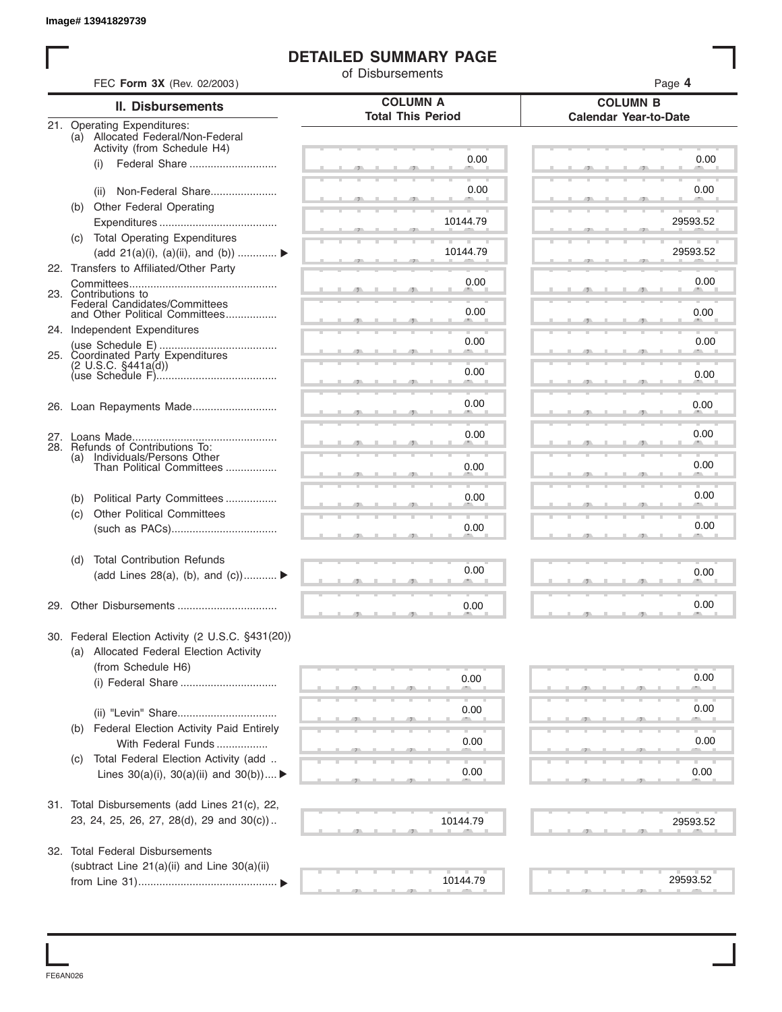## **DETAILED SUMMARY PAGE**

|     |                                                                                              | of Disbursements         |                              |
|-----|----------------------------------------------------------------------------------------------|--------------------------|------------------------------|
|     | FEC Form 3X (Rev. 02/2003)                                                                   | <b>COLUMN A</b>          | Page 4<br><b>COLUMN B</b>    |
|     | <b>II. Disbursements</b>                                                                     | <b>Total This Period</b> | <b>Calendar Year-to-Date</b> |
|     | 21. Operating Expenditures:<br>(a) Allocated Federal/Non-Federal                             |                          |                              |
|     | Activity (from Schedule H4)                                                                  | 0.00                     | 0.00                         |
|     | Federal Share<br>(i)                                                                         |                          |                              |
|     | Non-Federal Share<br>(ii)                                                                    | 0.00                     | 0.00                         |
|     | (b) Other Federal Operating                                                                  |                          |                              |
|     |                                                                                              | 10144.79                 | 29593.52                     |
|     | (c) Total Operating Expenditures                                                             |                          |                              |
|     | (add 21(a)(i), (a)(ii), and (b))                                                             | 10144.79                 | 29593.52                     |
|     | 22. Transfers to Affiliated/Other Party                                                      |                          | 0.00                         |
|     | 23. Contributions to                                                                         | 0.00                     |                              |
|     | Federal Candidates/Committees<br>and Other Political Committees                              | 0.00                     | 0.00                         |
|     | 24. Independent Expenditures                                                                 |                          |                              |
|     |                                                                                              | 0.00                     | 0.00                         |
|     | 25. Coordinated Party Expenditures<br>$(2 \cup S.C. \S441a(d))$                              |                          |                              |
|     |                                                                                              | 0.00                     | 0.00                         |
|     |                                                                                              |                          |                              |
|     |                                                                                              | 0.00                     | 0.00                         |
|     |                                                                                              |                          |                              |
|     | 28. Refunds of Contributions To:                                                             | 0.00                     | 0.00                         |
| (a) | Individuals/Persons Other                                                                    |                          | 0.00                         |
|     | Than Political Committees                                                                    | 0.00                     |                              |
| (b) | Political Party Committees                                                                   | 0.00                     | 0.00                         |
| (c) | <b>Other Political Committees</b>                                                            |                          |                              |
|     |                                                                                              | 0.00                     | 0.00                         |
|     |                                                                                              |                          |                              |
| (d) | <b>Total Contribution Refunds</b>                                                            |                          |                              |
|     | (add Lines 28(a), (b), and $(c)$ )                                                           | 0.00                     | 0.00                         |
|     |                                                                                              |                          |                              |
|     |                                                                                              | 0.00                     | 0.00                         |
|     |                                                                                              |                          |                              |
|     | 30. Federal Election Activity (2 U.S.C. §431(20))<br>(a) Allocated Federal Election Activity |                          |                              |
|     | (from Schedule H6)                                                                           |                          |                              |
|     | (i) Federal Share                                                                            | 0.00                     | 0.00                         |
|     |                                                                                              |                          |                              |
|     |                                                                                              | 0.00                     | 0.00                         |
| (b) | Federal Election Activity Paid Entirely                                                      |                          |                              |
|     | With Federal Funds                                                                           | 0.00                     | 0.00                         |
| (C) | Total Federal Election Activity (add                                                         |                          |                              |
|     | Lines $30(a)(i)$ , $30(a)(ii)$ and $30(b))$                                                  | 0.00                     | 0.00                         |
|     |                                                                                              |                          |                              |
|     | 31. Total Disbursements (add Lines 21(c), 22,<br>23, 24, 25, 26, 27, 28(d), 29 and 30(c))    |                          |                              |
|     |                                                                                              | 10144.79                 | 29593.52                     |
|     | 32. Total Federal Disbursements                                                              |                          |                              |
|     | (subtract Line 21(a)(ii) and Line 30(a)(ii)                                                  |                          |                              |
|     |                                                                                              | 10144.79                 | 29593.52                     |

FE6AN026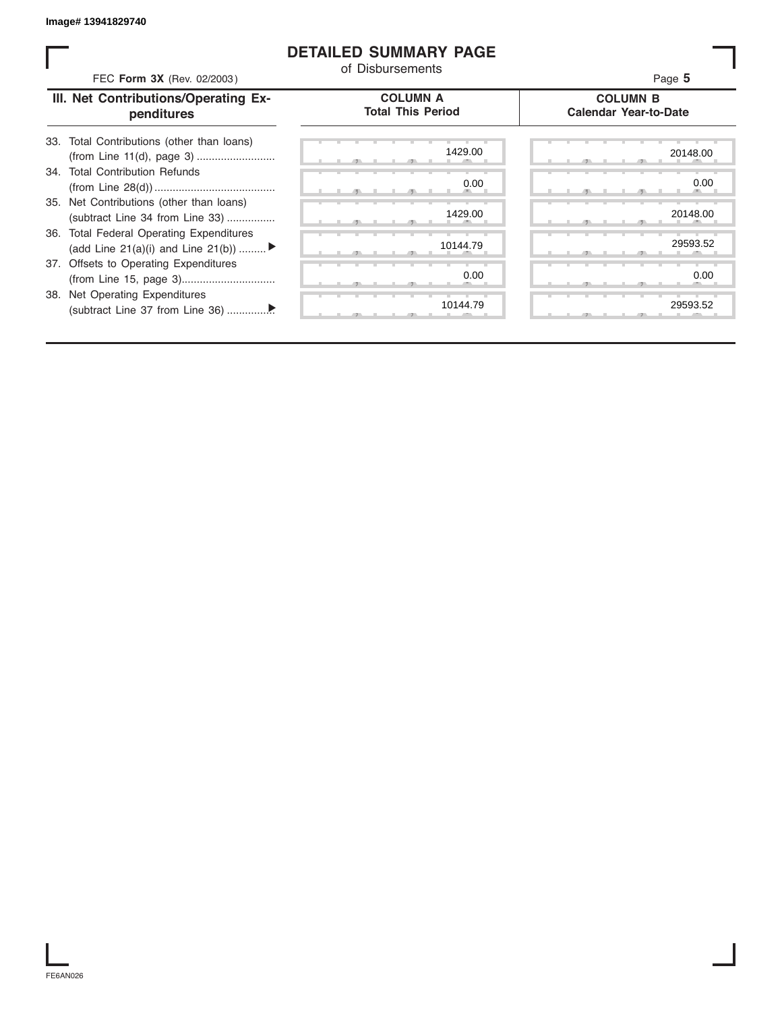### **DETAILED SUMMARY PAGE**

| FEC Form 3X (Rev. 02/2003)                                                               | <b>DETAILED SUMMARY PAGE</b><br>of Disbursements | Page 5                                          |
|------------------------------------------------------------------------------------------|--------------------------------------------------|-------------------------------------------------|
| III. Net Contributions/Operating Ex-<br>penditures                                       | <b>COLUMN A</b><br><b>Total This Period</b>      | <b>COLUMN B</b><br><b>Calendar Year-to-Date</b> |
| Total Contributions (other than loans)<br>33.                                            | 1429.00                                          | 20148.00                                        |
| 34. Total Contribution Refunds                                                           | 0.00                                             | 0.00                                            |
| 35. Net Contributions (other than loans)<br>(subtract Line 34 from Line 33)              | 1429.00                                          | 20148.00                                        |
| <b>Total Federal Operating Expenditures</b><br>36.<br>(add Line 21(a)(i) and Line 21(b)) | 10144.79                                         | 29593.52                                        |
| 37. Offsets to Operating Expenditures                                                    | 0.00                                             | 0.00                                            |
| 38. Net Operating Expenditures                                                           | 10144.79                                         | 29593.52                                        |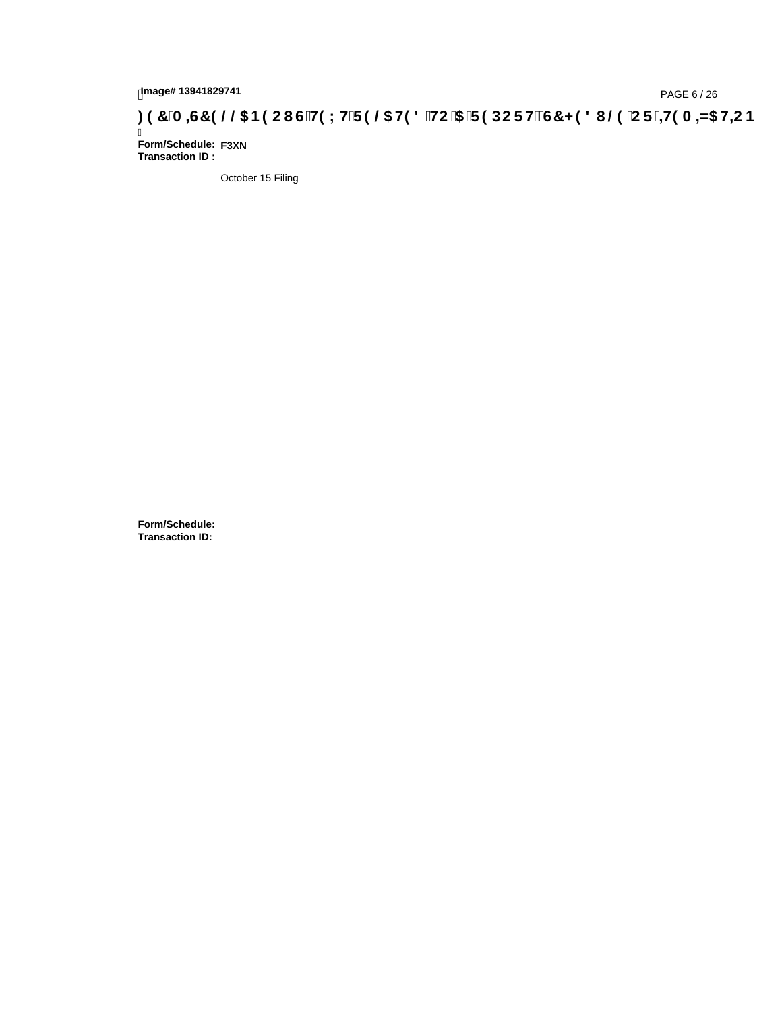# tmage#13941829741<br>DAGE 6 / 26 PAGE 6 / 26 PAGE 6 / 26 PAGE 6 / 25 P**AGE 6 / 26 PAGE 6 / 26 PAGE 6 / 26 PAGE 6 / 26** PAGE 1 PAGE B

Ī **Form/Schedule: F3XNTransaction ID :** 

October 15 Filing

**Form/Schedule: Transaction ID:**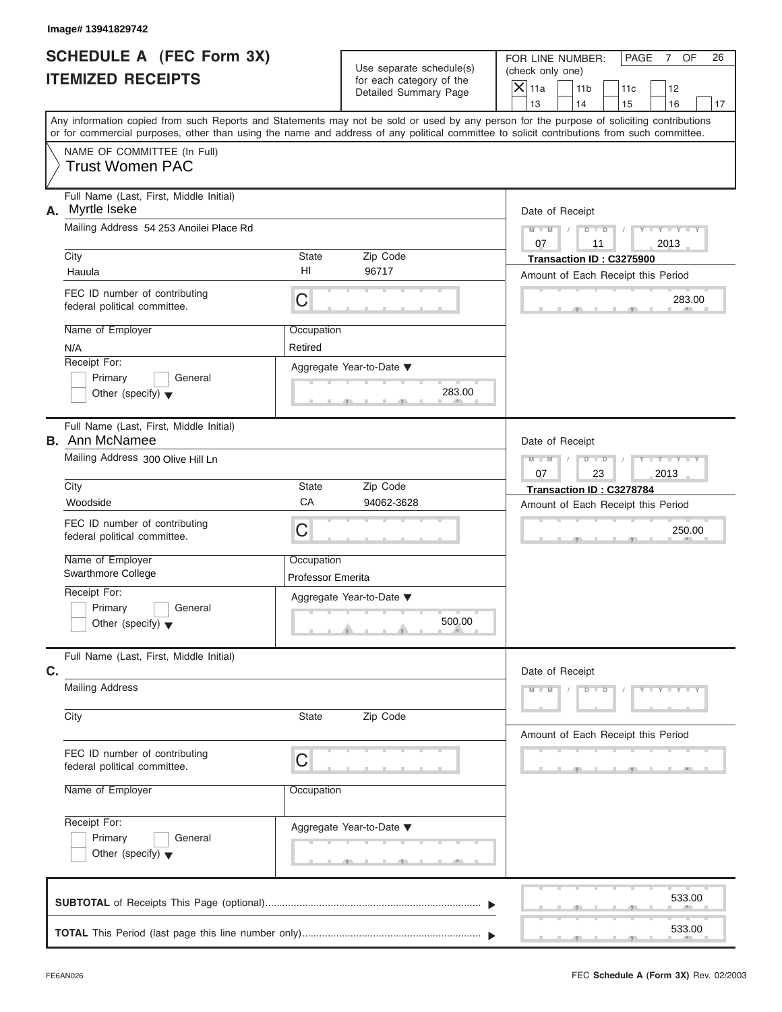| lmage# 13941829742 |  |
|--------------------|--|
|                    |  |

# **SCHEDULE A (FEC Form 3X) ITEMIZED RECEIPTS**

FOR LINE NUMBER: PAGE 7 OF<br>(check only one)

| SCHEDULE A (FEC Form 3X)                                                   |                                 | Use separate schedule(s)                          | FOR LINE NUMBER:<br>PAGE<br>7 OF<br>26                                                                                                                                                                                                                                                  |
|----------------------------------------------------------------------------|---------------------------------|---------------------------------------------------|-----------------------------------------------------------------------------------------------------------------------------------------------------------------------------------------------------------------------------------------------------------------------------------------|
| <b>ITEMIZED RECEIPTS</b>                                                   |                                 | for each category of the<br>Detailed Summary Page | (check only one)<br>$\overline{X}$ 11a<br>11 <sub>b</sub><br>12<br>11c<br>13<br>14<br>16<br>15<br>17                                                                                                                                                                                    |
|                                                                            |                                 |                                                   | Any information copied from such Reports and Statements may not be sold or used by any person for the purpose of soliciting contributions<br>or for commercial purposes, other than using the name and address of any political committee to solicit contributions from such committee. |
| NAME OF COMMITTEE (In Full)<br><b>Trust Women PAC</b>                      |                                 |                                                   |                                                                                                                                                                                                                                                                                         |
| Full Name (Last, First, Middle Initial)<br>A. Myrtle Iseke                 |                                 |                                                   | Date of Receipt                                                                                                                                                                                                                                                                         |
| Mailing Address 54 253 Anoilei Place Rd<br>City                            | <b>State</b>                    | Zip Code                                          | $M - M$<br>$Y - Y - I$<br>$D$ $D$<br>07<br>11<br>2013<br>Transaction ID: C3275900                                                                                                                                                                                                       |
| Hauula                                                                     | HI                              | 96717                                             | Amount of Each Receipt this Period                                                                                                                                                                                                                                                      |
| FEC ID number of contributing<br>federal political committee.              | $\mathsf C$                     |                                                   | 283.00                                                                                                                                                                                                                                                                                  |
| Name of Employer<br>N/A                                                    | Occupation<br>Retired           |                                                   |                                                                                                                                                                                                                                                                                         |
| Receipt For:<br>Primary<br>General<br>Other (specify) $\blacktriangledown$ |                                 | Aggregate Year-to-Date ▼<br>283.00<br>$-7$        |                                                                                                                                                                                                                                                                                         |
| Full Name (Last, First, Middle Initial)<br><b>B.</b> Ann McNamee           |                                 |                                                   | Date of Receipt                                                                                                                                                                                                                                                                         |
| Mailing Address 300 Olive Hill Ln                                          |                                 |                                                   | $M - M$<br>D<br>$\Box$<br>07<br>23<br>2013                                                                                                                                                                                                                                              |
| City                                                                       | <b>State</b><br>CA              | Zip Code<br>94062-3628                            | Transaction ID: C3278784                                                                                                                                                                                                                                                                |
| Woodside<br>FEC ID number of contributing                                  |                                 |                                                   | Amount of Each Receipt this Period                                                                                                                                                                                                                                                      |
| federal political committee.                                               | C                               |                                                   | 250.00                                                                                                                                                                                                                                                                                  |
| Name of Employer<br>Swarthmore College                                     | Occupation<br>Professor Emerita |                                                   |                                                                                                                                                                                                                                                                                         |
| Receipt For:                                                               |                                 | Aggregate Year-to-Date ▼                          |                                                                                                                                                                                                                                                                                         |
| General<br>Primary                                                         |                                 |                                                   |                                                                                                                                                                                                                                                                                         |
| Other (specify) $\blacktriangledown$                                       |                                 | 500.00                                            |                                                                                                                                                                                                                                                                                         |
| Full Name (Last, First, Middle Initial)<br>C.                              |                                 |                                                   | Date of Receipt                                                                                                                                                                                                                                                                         |
| <b>Mailing Address</b>                                                     |                                 |                                                   | $M - M$<br>$Y - Y - Y - Y - I$<br>$D$ $D$                                                                                                                                                                                                                                               |
| City                                                                       | <b>State</b>                    | Zip Code                                          | Amount of Each Receipt this Period                                                                                                                                                                                                                                                      |
| FEC ID number of contributing<br>federal political committee.              | C                               |                                                   |                                                                                                                                                                                                                                                                                         |
| Name of Employer                                                           | Occupation                      |                                                   |                                                                                                                                                                                                                                                                                         |
| Receipt For:<br>Primary<br>General<br>Other (specify) $\blacktriangledown$ |                                 | Aggregate Year-to-Date ▼                          |                                                                                                                                                                                                                                                                                         |
|                                                                            |                                 |                                                   | 533.00                                                                                                                                                                                                                                                                                  |
|                                                                            |                                 |                                                   | 533.00                                                                                                                                                                                                                                                                                  |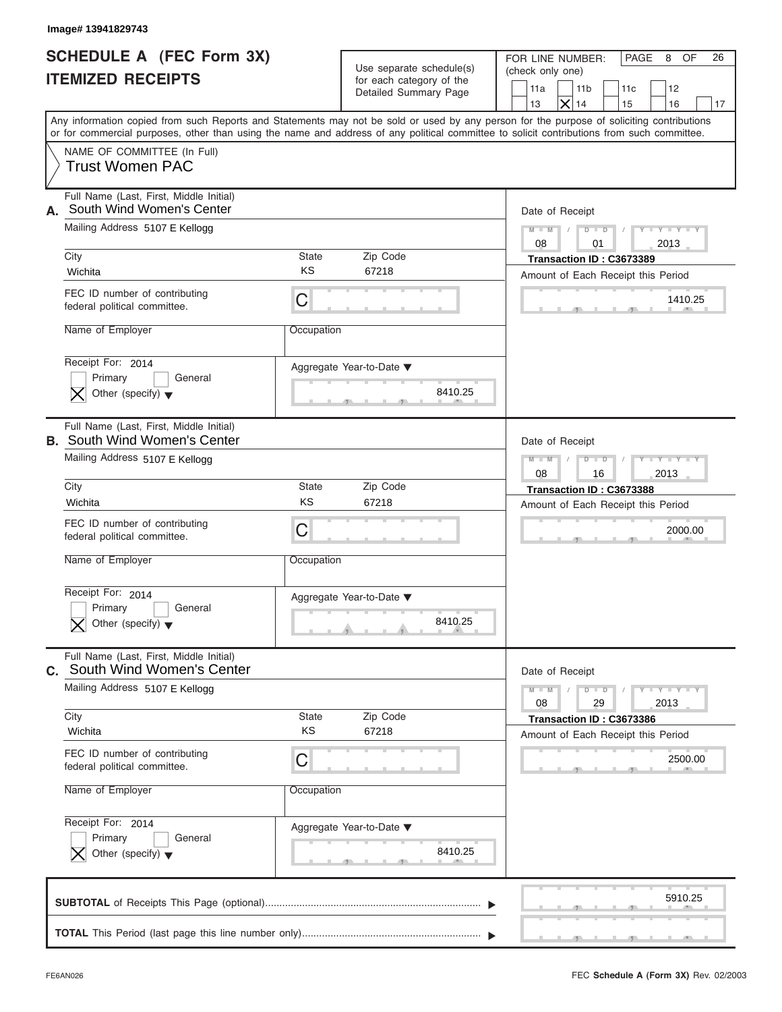# **SCHEDULE A (FEC Form 3X) ITEMIZED RECEIPTS**

| Image# 13941829743                                                              |                          |                                                                               |                                                                                                                                                                                                                                                                                         |
|---------------------------------------------------------------------------------|--------------------------|-------------------------------------------------------------------------------|-----------------------------------------------------------------------------------------------------------------------------------------------------------------------------------------------------------------------------------------------------------------------------------------|
| <b>SCHEDULE A (FEC Form 3X)</b><br><b>ITEMIZED RECEIPTS</b>                     |                          | Use separate schedule(s)<br>for each category of the<br>Detailed Summary Page | FOR LINE NUMBER:<br>PAGE<br>OF<br>26<br>8<br>(check only one)<br>11a<br>11 <sub>b</sub><br>11c<br>12<br>$\times$<br>14<br>13<br>15<br>16<br>17                                                                                                                                          |
|                                                                                 |                          |                                                                               | Any information copied from such Reports and Statements may not be sold or used by any person for the purpose of soliciting contributions<br>or for commercial purposes, other than using the name and address of any political committee to solicit contributions from such committee. |
| NAME OF COMMITTEE (In Full)<br><b>Trust Women PAC</b>                           |                          |                                                                               |                                                                                                                                                                                                                                                                                         |
| Full Name (Last, First, Middle Initial)<br>South Wind Women's Center<br>А.      |                          |                                                                               | Date of Receipt                                                                                                                                                                                                                                                                         |
| Mailing Address 5107 E Kellogg                                                  |                          |                                                                               | $D$ $D$<br>$Y - Y - Y - Y - Y$<br>$M - M$<br>$\sqrt{ }$<br>08<br>01<br>2013                                                                                                                                                                                                             |
| City                                                                            | <b>State</b>             | Zip Code                                                                      | Transaction ID: C3673389                                                                                                                                                                                                                                                                |
| Wichita                                                                         | <b>KS</b>                | 67218                                                                         | Amount of Each Receipt this Period                                                                                                                                                                                                                                                      |
| FEC ID number of contributing<br>federal political committee.                   | C                        |                                                                               | 1410.25                                                                                                                                                                                                                                                                                 |
| Name of Employer                                                                | Occupation               |                                                                               |                                                                                                                                                                                                                                                                                         |
| Receipt For: 2014<br>Primary<br>General<br>Other (specify) $\blacktriangledown$ | Aggregate Year-to-Date ▼ | 8410.25                                                                       |                                                                                                                                                                                                                                                                                         |
| Full Name (Last, First, Middle Initial)<br><b>B.</b> South Wind Women's Center  |                          |                                                                               | Date of Receipt                                                                                                                                                                                                                                                                         |
| Mailing Address 5107 E Kellogg                                                  |                          |                                                                               | $M - M$<br>$D - I - D$<br>$Y - Y - Y - Y - Y$<br>2013<br>08<br>16                                                                                                                                                                                                                       |
| City                                                                            | <b>State</b>             | Zip Code                                                                      | Transaction ID: C3673388                                                                                                                                                                                                                                                                |
| Wichita                                                                         | KS                       | 67218                                                                         | Amount of Each Receipt this Period                                                                                                                                                                                                                                                      |
| FEC ID number of contributing<br>federal political committee.                   | C                        |                                                                               | 2000.00                                                                                                                                                                                                                                                                                 |
| Name of Employer                                                                | Occupation               |                                                                               |                                                                                                                                                                                                                                                                                         |
| Receipt For: 2014<br>Primary<br>General<br>Other (specify) $\blacktriangledown$ | Aggregate Year-to-Date ▼ | 8410.25                                                                       |                                                                                                                                                                                                                                                                                         |
| Full Name (Last, First, Middle Initial)<br>C. South Wind Women's Center         |                          |                                                                               | Date of Receipt                                                                                                                                                                                                                                                                         |
| Mailing Address 5107 E Kellogg                                                  |                          |                                                                               | $M - M$<br>$D - D$<br>$Y - Y - Y - Y - I$<br>2013<br>08<br>29                                                                                                                                                                                                                           |
| City<br>Wichita                                                                 | State<br>KS              | Zip Code<br>67218                                                             | Transaction ID: C3673386                                                                                                                                                                                                                                                                |
| FEC ID number of contributing                                                   | С                        |                                                                               | Amount of Each Receipt this Period<br>2500.00                                                                                                                                                                                                                                           |
| federal political committee.<br>Name of Employer                                | Occupation               |                                                                               |                                                                                                                                                                                                                                                                                         |
| Receipt For: 2014                                                               | Aggregate Year-to-Date ▼ |                                                                               |                                                                                                                                                                                                                                                                                         |
| Primary<br>General<br>Other (specify) $\blacktriangledown$                      |                          | 8410.25                                                                       |                                                                                                                                                                                                                                                                                         |
|                                                                                 |                          |                                                                               | 5910.25                                                                                                                                                                                                                                                                                 |
|                                                                                 |                          |                                                                               |                                                                                                                                                                                                                                                                                         |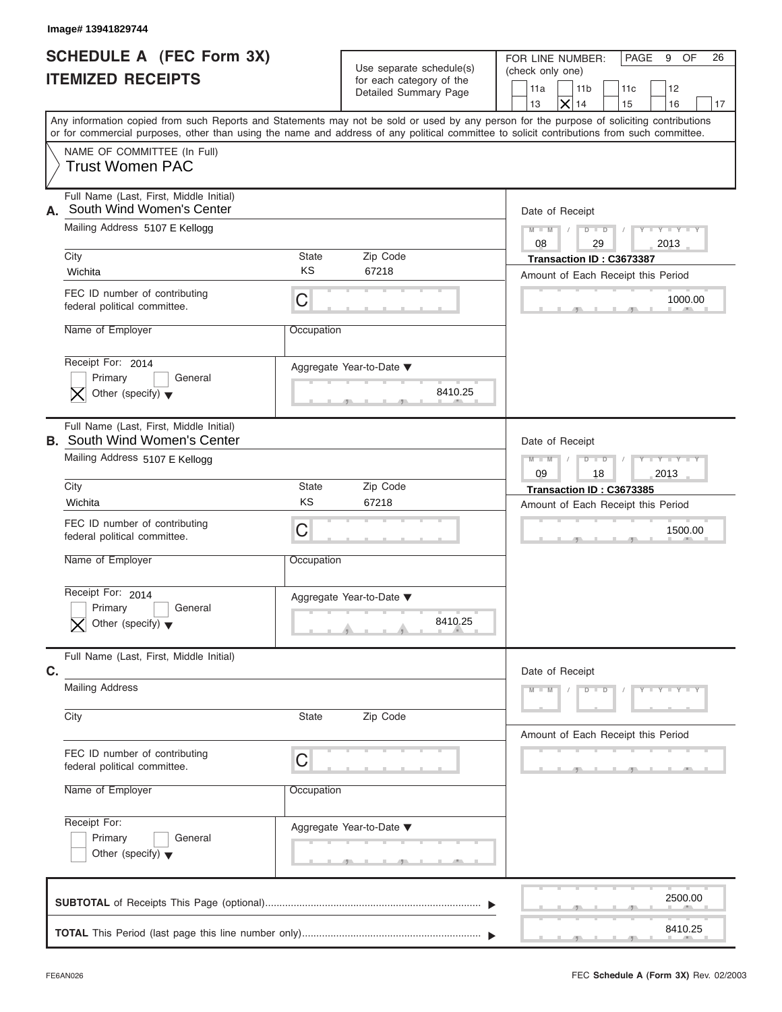# **SCHEDULE A (FEC Form 3X) ITEMIZED RECEIPTS**

| <b>SCHEDULE A (FEC Form 3X)</b><br>FOR LINE NUMBER:<br>PAGE<br>9 OF<br>26<br>Use separate schedule(s)<br>(check only one)<br>for each category of the<br>11a<br>11 <sub>b</sub><br>11c<br>12<br>Detailed Summary Page<br>$\times$<br>13<br>14<br>15<br>16<br>17<br>Any information copied from such Reports and Statements may not be sold or used by any person for the purpose of soliciting contributions<br>or for commercial purposes, other than using the name and address of any political committee to solicit contributions from such committee.<br>NAME OF COMMITTEE (In Full)<br><b>Trust Women PAC</b><br>Full Name (Last, First, Middle Initial)<br>South Wind Women's Center<br>А.<br>Date of Receipt<br>Mailing Address 5107 E Kellogg<br>$D$ $D$<br>$Y - Y - Y - Y - Y$<br>$M - M$<br>$\sqrt{2}$<br>$\sqrt{ }$<br>08<br>29<br>2013<br>City<br>State<br>Zip Code<br>Transaction ID: C3673387<br><b>KS</b><br>67218<br>Wichita<br>Amount of Each Receipt this Period<br>FEC ID number of contributing<br>C<br>1000.00<br>federal political committee.<br>Name of Employer<br>Occupation<br>Receipt For: 2014<br>Aggregate Year-to-Date ▼<br>Primary<br>General<br>8410.25<br>Other (specify) $\blacktriangledown$<br>Full Name (Last, First, Middle Initial)<br><b>B.</b> South Wind Women's Center<br>Date of Receipt<br>Mailing Address 5107 E Kellogg<br>$M - M$<br>$D - I - D$<br>$Y - Y - Y - Y - Y$<br>2013<br>09<br>18<br>City<br>State<br>Zip Code<br>Transaction ID: C3673385<br>KS<br>67218<br>Wichita<br>Amount of Each Receipt this Period<br>FEC ID number of contributing<br>C<br>1500.00<br>federal political committee.<br>Name of Employer<br>Occupation<br>Receipt For: 2014<br>Aggregate Year-to-Date ▼<br>General<br>Primary<br>8410.25<br>Other (specify) $\blacktriangledown$<br>Full Name (Last, First, Middle Initial)<br>C.<br>Date of Receipt<br><b>Mailing Address</b><br>$M - M$<br>$D$ $D$<br>$Y - Y - Y - Y - Y$<br>Zip Code<br>City<br>State<br>Amount of Each Receipt this Period<br>FEC ID number of contributing<br>С<br>federal political committee.<br>Name of Employer<br>Occupation<br>Receipt For:<br>Aggregate Year-to-Date ▼<br>Primary<br>General<br>Other (specify) $\blacktriangledown$<br>2500.00 | Image# 13941829744       |  |         |
|---------------------------------------------------------------------------------------------------------------------------------------------------------------------------------------------------------------------------------------------------------------------------------------------------------------------------------------------------------------------------------------------------------------------------------------------------------------------------------------------------------------------------------------------------------------------------------------------------------------------------------------------------------------------------------------------------------------------------------------------------------------------------------------------------------------------------------------------------------------------------------------------------------------------------------------------------------------------------------------------------------------------------------------------------------------------------------------------------------------------------------------------------------------------------------------------------------------------------------------------------------------------------------------------------------------------------------------------------------------------------------------------------------------------------------------------------------------------------------------------------------------------------------------------------------------------------------------------------------------------------------------------------------------------------------------------------------------------------------------------------------------------------------------------------------------------------------------------------------------------------------------------------------------------------------------------------------------------------------------------------------------------------------------------------------------------------------------------------------------------------------------------------------------------------------------------------------------------------------------------------------------|--------------------------|--|---------|
|                                                                                                                                                                                                                                                                                                                                                                                                                                                                                                                                                                                                                                                                                                                                                                                                                                                                                                                                                                                                                                                                                                                                                                                                                                                                                                                                                                                                                                                                                                                                                                                                                                                                                                                                                                                                                                                                                                                                                                                                                                                                                                                                                                                                                                                               | <b>ITEMIZED RECEIPTS</b> |  |         |
|                                                                                                                                                                                                                                                                                                                                                                                                                                                                                                                                                                                                                                                                                                                                                                                                                                                                                                                                                                                                                                                                                                                                                                                                                                                                                                                                                                                                                                                                                                                                                                                                                                                                                                                                                                                                                                                                                                                                                                                                                                                                                                                                                                                                                                                               |                          |  |         |
|                                                                                                                                                                                                                                                                                                                                                                                                                                                                                                                                                                                                                                                                                                                                                                                                                                                                                                                                                                                                                                                                                                                                                                                                                                                                                                                                                                                                                                                                                                                                                                                                                                                                                                                                                                                                                                                                                                                                                                                                                                                                                                                                                                                                                                                               |                          |  |         |
|                                                                                                                                                                                                                                                                                                                                                                                                                                                                                                                                                                                                                                                                                                                                                                                                                                                                                                                                                                                                                                                                                                                                                                                                                                                                                                                                                                                                                                                                                                                                                                                                                                                                                                                                                                                                                                                                                                                                                                                                                                                                                                                                                                                                                                                               |                          |  |         |
|                                                                                                                                                                                                                                                                                                                                                                                                                                                                                                                                                                                                                                                                                                                                                                                                                                                                                                                                                                                                                                                                                                                                                                                                                                                                                                                                                                                                                                                                                                                                                                                                                                                                                                                                                                                                                                                                                                                                                                                                                                                                                                                                                                                                                                                               |                          |  |         |
|                                                                                                                                                                                                                                                                                                                                                                                                                                                                                                                                                                                                                                                                                                                                                                                                                                                                                                                                                                                                                                                                                                                                                                                                                                                                                                                                                                                                                                                                                                                                                                                                                                                                                                                                                                                                                                                                                                                                                                                                                                                                                                                                                                                                                                                               |                          |  |         |
|                                                                                                                                                                                                                                                                                                                                                                                                                                                                                                                                                                                                                                                                                                                                                                                                                                                                                                                                                                                                                                                                                                                                                                                                                                                                                                                                                                                                                                                                                                                                                                                                                                                                                                                                                                                                                                                                                                                                                                                                                                                                                                                                                                                                                                                               |                          |  |         |
|                                                                                                                                                                                                                                                                                                                                                                                                                                                                                                                                                                                                                                                                                                                                                                                                                                                                                                                                                                                                                                                                                                                                                                                                                                                                                                                                                                                                                                                                                                                                                                                                                                                                                                                                                                                                                                                                                                                                                                                                                                                                                                                                                                                                                                                               |                          |  |         |
|                                                                                                                                                                                                                                                                                                                                                                                                                                                                                                                                                                                                                                                                                                                                                                                                                                                                                                                                                                                                                                                                                                                                                                                                                                                                                                                                                                                                                                                                                                                                                                                                                                                                                                                                                                                                                                                                                                                                                                                                                                                                                                                                                                                                                                                               |                          |  |         |
|                                                                                                                                                                                                                                                                                                                                                                                                                                                                                                                                                                                                                                                                                                                                                                                                                                                                                                                                                                                                                                                                                                                                                                                                                                                                                                                                                                                                                                                                                                                                                                                                                                                                                                                                                                                                                                                                                                                                                                                                                                                                                                                                                                                                                                                               |                          |  |         |
|                                                                                                                                                                                                                                                                                                                                                                                                                                                                                                                                                                                                                                                                                                                                                                                                                                                                                                                                                                                                                                                                                                                                                                                                                                                                                                                                                                                                                                                                                                                                                                                                                                                                                                                                                                                                                                                                                                                                                                                                                                                                                                                                                                                                                                                               |                          |  |         |
|                                                                                                                                                                                                                                                                                                                                                                                                                                                                                                                                                                                                                                                                                                                                                                                                                                                                                                                                                                                                                                                                                                                                                                                                                                                                                                                                                                                                                                                                                                                                                                                                                                                                                                                                                                                                                                                                                                                                                                                                                                                                                                                                                                                                                                                               |                          |  |         |
|                                                                                                                                                                                                                                                                                                                                                                                                                                                                                                                                                                                                                                                                                                                                                                                                                                                                                                                                                                                                                                                                                                                                                                                                                                                                                                                                                                                                                                                                                                                                                                                                                                                                                                                                                                                                                                                                                                                                                                                                                                                                                                                                                                                                                                                               |                          |  |         |
|                                                                                                                                                                                                                                                                                                                                                                                                                                                                                                                                                                                                                                                                                                                                                                                                                                                                                                                                                                                                                                                                                                                                                                                                                                                                                                                                                                                                                                                                                                                                                                                                                                                                                                                                                                                                                                                                                                                                                                                                                                                                                                                                                                                                                                                               |                          |  |         |
|                                                                                                                                                                                                                                                                                                                                                                                                                                                                                                                                                                                                                                                                                                                                                                                                                                                                                                                                                                                                                                                                                                                                                                                                                                                                                                                                                                                                                                                                                                                                                                                                                                                                                                                                                                                                                                                                                                                                                                                                                                                                                                                                                                                                                                                               |                          |  |         |
|                                                                                                                                                                                                                                                                                                                                                                                                                                                                                                                                                                                                                                                                                                                                                                                                                                                                                                                                                                                                                                                                                                                                                                                                                                                                                                                                                                                                                                                                                                                                                                                                                                                                                                                                                                                                                                                                                                                                                                                                                                                                                                                                                                                                                                                               |                          |  |         |
|                                                                                                                                                                                                                                                                                                                                                                                                                                                                                                                                                                                                                                                                                                                                                                                                                                                                                                                                                                                                                                                                                                                                                                                                                                                                                                                                                                                                                                                                                                                                                                                                                                                                                                                                                                                                                                                                                                                                                                                                                                                                                                                                                                                                                                                               |                          |  |         |
|                                                                                                                                                                                                                                                                                                                                                                                                                                                                                                                                                                                                                                                                                                                                                                                                                                                                                                                                                                                                                                                                                                                                                                                                                                                                                                                                                                                                                                                                                                                                                                                                                                                                                                                                                                                                                                                                                                                                                                                                                                                                                                                                                                                                                                                               |                          |  |         |
|                                                                                                                                                                                                                                                                                                                                                                                                                                                                                                                                                                                                                                                                                                                                                                                                                                                                                                                                                                                                                                                                                                                                                                                                                                                                                                                                                                                                                                                                                                                                                                                                                                                                                                                                                                                                                                                                                                                                                                                                                                                                                                                                                                                                                                                               |                          |  |         |
|                                                                                                                                                                                                                                                                                                                                                                                                                                                                                                                                                                                                                                                                                                                                                                                                                                                                                                                                                                                                                                                                                                                                                                                                                                                                                                                                                                                                                                                                                                                                                                                                                                                                                                                                                                                                                                                                                                                                                                                                                                                                                                                                                                                                                                                               |                          |  |         |
|                                                                                                                                                                                                                                                                                                                                                                                                                                                                                                                                                                                                                                                                                                                                                                                                                                                                                                                                                                                                                                                                                                                                                                                                                                                                                                                                                                                                                                                                                                                                                                                                                                                                                                                                                                                                                                                                                                                                                                                                                                                                                                                                                                                                                                                               |                          |  |         |
|                                                                                                                                                                                                                                                                                                                                                                                                                                                                                                                                                                                                                                                                                                                                                                                                                                                                                                                                                                                                                                                                                                                                                                                                                                                                                                                                                                                                                                                                                                                                                                                                                                                                                                                                                                                                                                                                                                                                                                                                                                                                                                                                                                                                                                                               |                          |  |         |
|                                                                                                                                                                                                                                                                                                                                                                                                                                                                                                                                                                                                                                                                                                                                                                                                                                                                                                                                                                                                                                                                                                                                                                                                                                                                                                                                                                                                                                                                                                                                                                                                                                                                                                                                                                                                                                                                                                                                                                                                                                                                                                                                                                                                                                                               |                          |  |         |
|                                                                                                                                                                                                                                                                                                                                                                                                                                                                                                                                                                                                                                                                                                                                                                                                                                                                                                                                                                                                                                                                                                                                                                                                                                                                                                                                                                                                                                                                                                                                                                                                                                                                                                                                                                                                                                                                                                                                                                                                                                                                                                                                                                                                                                                               |                          |  |         |
|                                                                                                                                                                                                                                                                                                                                                                                                                                                                                                                                                                                                                                                                                                                                                                                                                                                                                                                                                                                                                                                                                                                                                                                                                                                                                                                                                                                                                                                                                                                                                                                                                                                                                                                                                                                                                                                                                                                                                                                                                                                                                                                                                                                                                                                               |                          |  |         |
|                                                                                                                                                                                                                                                                                                                                                                                                                                                                                                                                                                                                                                                                                                                                                                                                                                                                                                                                                                                                                                                                                                                                                                                                                                                                                                                                                                                                                                                                                                                                                                                                                                                                                                                                                                                                                                                                                                                                                                                                                                                                                                                                                                                                                                                               |                          |  | 8410.25 |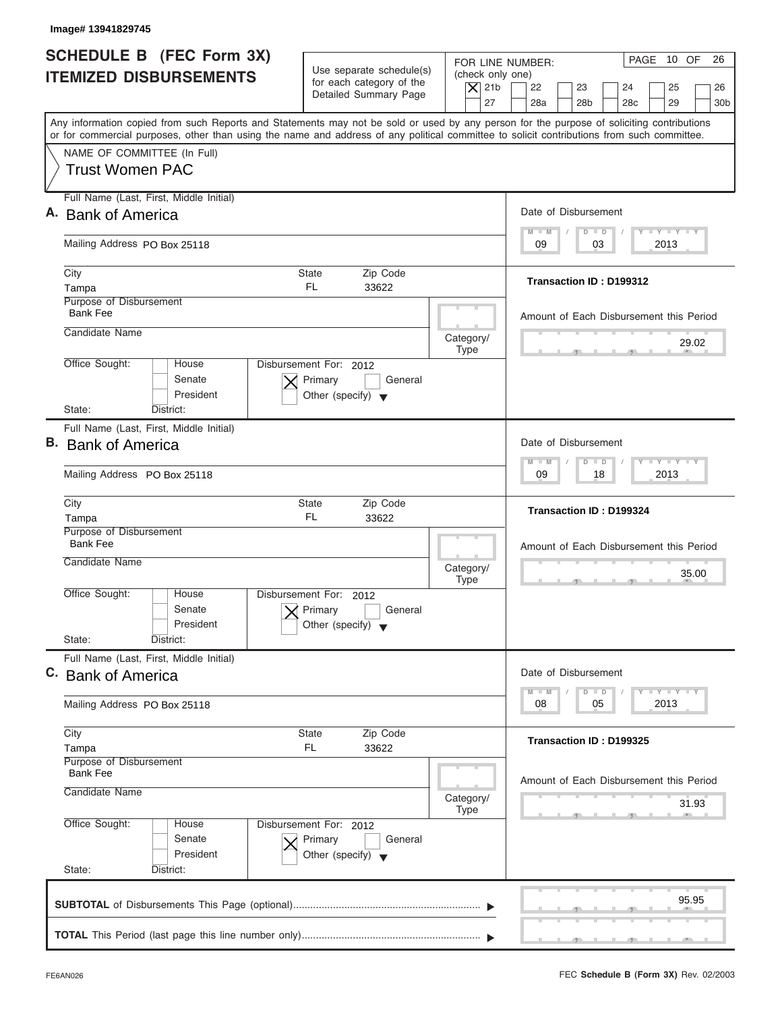| <b>SCHEDULE B</b> (FEC Form 3X)<br><b>ITEMIZED DISBURSEMENTS</b><br>Any information copied from such Reports and Statements may not be sold or used by any person for the purpose of soliciting contributions<br>or for commercial purposes, other than using the name and address of any political committee to solicit contributions from such committee.<br>NAME OF COMMITTEE (In Full)<br><b>Trust Women PAC</b><br>Full Name (Last, First, Middle Initial)<br>A. Bank of America<br>Mailing Address PO Box 25118<br>City<br>State<br>FL.<br>Tampa<br>Purpose of Disbursement<br><b>Bank Fee</b><br>Candidate Name<br>Office Sought:<br>Disbursement For: 2012<br>House<br>Senate<br>Primary<br>President<br>Other (specify) $\blacktriangledown$<br>State:<br>District:<br>Full Name (Last, First, Middle Initial)<br><b>B.</b> Bank of America<br>Mailing Address PO Box 25118<br>City<br>State<br>FL.<br>Tampa<br>Purpose of Disbursement | Use separate schedule(s)<br>for each category of the<br>Detailed Summary Page<br>Zip Code<br>33622 | FOR LINE NUMBER:<br>(check only one)<br>$\overline{X}$ 21b<br>27                   | PAGE 10 OF<br>26<br>22<br>23<br>24<br>25<br>26<br>28a<br>28 <sub>b</sub><br>29<br>28 <sub>c</sub><br>30 <sub>b</sub><br>Date of Disbursement |
|--------------------------------------------------------------------------------------------------------------------------------------------------------------------------------------------------------------------------------------------------------------------------------------------------------------------------------------------------------------------------------------------------------------------------------------------------------------------------------------------------------------------------------------------------------------------------------------------------------------------------------------------------------------------------------------------------------------------------------------------------------------------------------------------------------------------------------------------------------------------------------------------------------------------------------------------------|----------------------------------------------------------------------------------------------------|------------------------------------------------------------------------------------|----------------------------------------------------------------------------------------------------------------------------------------------|
|                                                                                                                                                                                                                                                                                                                                                                                                                                                                                                                                                                                                                                                                                                                                                                                                                                                                                                                                                  |                                                                                                    |                                                                                    |                                                                                                                                              |
|                                                                                                                                                                                                                                                                                                                                                                                                                                                                                                                                                                                                                                                                                                                                                                                                                                                                                                                                                  |                                                                                                    |                                                                                    |                                                                                                                                              |
|                                                                                                                                                                                                                                                                                                                                                                                                                                                                                                                                                                                                                                                                                                                                                                                                                                                                                                                                                  |                                                                                                    |                                                                                    |                                                                                                                                              |
|                                                                                                                                                                                                                                                                                                                                                                                                                                                                                                                                                                                                                                                                                                                                                                                                                                                                                                                                                  |                                                                                                    |                                                                                    |                                                                                                                                              |
|                                                                                                                                                                                                                                                                                                                                                                                                                                                                                                                                                                                                                                                                                                                                                                                                                                                                                                                                                  |                                                                                                    |                                                                                    | $T - Y = T - Y = T - Y$<br>$D$ $D$<br>$M - M$                                                                                                |
|                                                                                                                                                                                                                                                                                                                                                                                                                                                                                                                                                                                                                                                                                                                                                                                                                                                                                                                                                  |                                                                                                    |                                                                                    | 03<br>2013<br>09                                                                                                                             |
|                                                                                                                                                                                                                                                                                                                                                                                                                                                                                                                                                                                                                                                                                                                                                                                                                                                                                                                                                  |                                                                                                    |                                                                                    | Transaction ID: D199312                                                                                                                      |
|                                                                                                                                                                                                                                                                                                                                                                                                                                                                                                                                                                                                                                                                                                                                                                                                                                                                                                                                                  |                                                                                                    |                                                                                    | Amount of Each Disbursement this Period                                                                                                      |
|                                                                                                                                                                                                                                                                                                                                                                                                                                                                                                                                                                                                                                                                                                                                                                                                                                                                                                                                                  |                                                                                                    | Category/<br><b>Type</b>                                                           | 29.02                                                                                                                                        |
|                                                                                                                                                                                                                                                                                                                                                                                                                                                                                                                                                                                                                                                                                                                                                                                                                                                                                                                                                  | General                                                                                            |                                                                                    |                                                                                                                                              |
|                                                                                                                                                                                                                                                                                                                                                                                                                                                                                                                                                                                                                                                                                                                                                                                                                                                                                                                                                  |                                                                                                    |                                                                                    |                                                                                                                                              |
|                                                                                                                                                                                                                                                                                                                                                                                                                                                                                                                                                                                                                                                                                                                                                                                                                                                                                                                                                  |                                                                                                    |                                                                                    | Date of Disbursement                                                                                                                         |
|                                                                                                                                                                                                                                                                                                                                                                                                                                                                                                                                                                                                                                                                                                                                                                                                                                                                                                                                                  |                                                                                                    |                                                                                    | $-1 - Y - 1 - Y - 1 - Y$<br>$M - M$<br>$D$ $D$<br>2013<br>09<br>18                                                                           |
|                                                                                                                                                                                                                                                                                                                                                                                                                                                                                                                                                                                                                                                                                                                                                                                                                                                                                                                                                  | Zip Code<br>33622                                                                                  |                                                                                    | Transaction ID: D199324                                                                                                                      |
| <b>Bank Fee</b><br>Candidate Name                                                                                                                                                                                                                                                                                                                                                                                                                                                                                                                                                                                                                                                                                                                                                                                                                                                                                                                |                                                                                                    |                                                                                    | Amount of Each Disbursement this Period                                                                                                      |
|                                                                                                                                                                                                                                                                                                                                                                                                                                                                                                                                                                                                                                                                                                                                                                                                                                                                                                                                                  |                                                                                                    | Category/<br><b>Type</b>                                                           | 35.00<br>$-7$                                                                                                                                |
| Office Sought:<br>House<br>Disbursement For:<br>Senate<br>Primary<br>President<br>Other (specify)<br>State:<br>District:                                                                                                                                                                                                                                                                                                                                                                                                                                                                                                                                                                                                                                                                                                                                                                                                                         | 2012<br>General                                                                                    |                                                                                    |                                                                                                                                              |
| Full Name (Last, First, Middle Initial)                                                                                                                                                                                                                                                                                                                                                                                                                                                                                                                                                                                                                                                                                                                                                                                                                                                                                                          |                                                                                                    |                                                                                    |                                                                                                                                              |
| C. Bank of America                                                                                                                                                                                                                                                                                                                                                                                                                                                                                                                                                                                                                                                                                                                                                                                                                                                                                                                               |                                                                                                    |                                                                                    | Date of Disbursement                                                                                                                         |
| Mailing Address PO Box 25118                                                                                                                                                                                                                                                                                                                                                                                                                                                                                                                                                                                                                                                                                                                                                                                                                                                                                                                     |                                                                                                    | $T - Y$ $T - Y$ $T - Y$<br>$M - M$<br>$\overline{D}$<br>$\Box$<br>2013<br>08<br>05 |                                                                                                                                              |
| City<br>State<br>FL.<br>Tampa                                                                                                                                                                                                                                                                                                                                                                                                                                                                                                                                                                                                                                                                                                                                                                                                                                                                                                                    | Zip Code<br>33622                                                                                  |                                                                                    | Transaction ID: D199325                                                                                                                      |
| Purpose of Disbursement<br><b>Bank Fee</b><br>Candidate Name                                                                                                                                                                                                                                                                                                                                                                                                                                                                                                                                                                                                                                                                                                                                                                                                                                                                                     |                                                                                                    | Category/                                                                          | Amount of Each Disbursement this Period<br>31.93                                                                                             |
| Office Sought:<br>House<br>Disbursement For: 2012<br>Senate<br>Primary<br>President<br>Other (specify) $\blacktriangledown$<br>State:<br>District:                                                                                                                                                                                                                                                                                                                                                                                                                                                                                                                                                                                                                                                                                                                                                                                               |                                                                                                    | Type                                                                               |                                                                                                                                              |
|                                                                                                                                                                                                                                                                                                                                                                                                                                                                                                                                                                                                                                                                                                                                                                                                                                                                                                                                                  | General                                                                                            |                                                                                    |                                                                                                                                              |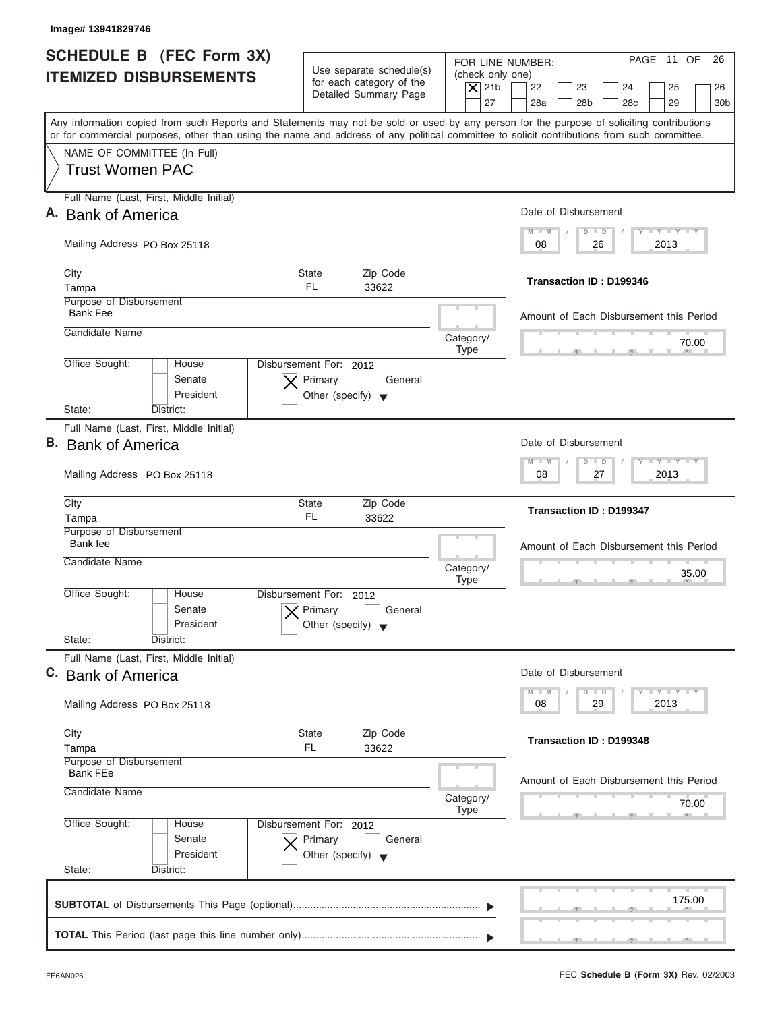| <b>SCHEDULE B</b> (FEC Form 3X)<br><b>ITEMIZED DISBURSEMENTS</b>                                                                                                                                                                                                                        | Use separate schedule(s)<br>for each category of the<br>Detailed Summary Page        | (check only one)<br>$\overline{X}$ 21b<br>27 | PAGE 11 OF<br>26<br>FOR LINE NUMBER:<br>22<br>23<br>24<br>25<br>26<br>28a<br>28 <sub>b</sub><br>29<br>28 <sub>c</sub><br>30 <sub>b</sub> |
|-----------------------------------------------------------------------------------------------------------------------------------------------------------------------------------------------------------------------------------------------------------------------------------------|--------------------------------------------------------------------------------------|----------------------------------------------|------------------------------------------------------------------------------------------------------------------------------------------|
| Any information copied from such Reports and Statements may not be sold or used by any person for the purpose of soliciting contributions<br>or for commercial purposes, other than using the name and address of any political committee to solicit contributions from such committee. |                                                                                      |                                              |                                                                                                                                          |
| NAME OF COMMITTEE (In Full)<br><b>Trust Women PAC</b>                                                                                                                                                                                                                                   |                                                                                      |                                              |                                                                                                                                          |
| Full Name (Last, First, Middle Initial)<br>A. Bank of America                                                                                                                                                                                                                           |                                                                                      |                                              | Date of Disbursement                                                                                                                     |
|                                                                                                                                                                                                                                                                                         |                                                                                      |                                              | $T - Y = T - Y = T - Y$<br>$D$ $D$<br>$M - M$                                                                                            |
| Mailing Address PO Box 25118                                                                                                                                                                                                                                                            |                                                                                      |                                              | 2013<br>08<br>26                                                                                                                         |
| City<br>Tampa                                                                                                                                                                                                                                                                           | State<br>Zip Code<br>FL.<br>33622                                                    |                                              | Transaction ID: D199346                                                                                                                  |
| Purpose of Disbursement<br><b>Bank Fee</b>                                                                                                                                                                                                                                              |                                                                                      |                                              | Amount of Each Disbursement this Period                                                                                                  |
| Candidate Name                                                                                                                                                                                                                                                                          |                                                                                      | Category/<br><b>Type</b>                     | 70.00                                                                                                                                    |
| Office Sought:<br>House<br>Senate<br>President<br>State:<br>District:                                                                                                                                                                                                                   | Disbursement For: 2012<br>Primary<br>General<br>Other (specify) $\blacktriangledown$ |                                              |                                                                                                                                          |
| Full Name (Last, First, Middle Initial)                                                                                                                                                                                                                                                 |                                                                                      |                                              |                                                                                                                                          |
| B. Bank of America                                                                                                                                                                                                                                                                      |                                                                                      |                                              | Date of Disbursement<br>$-1 - Y - 1 - Y - 1 - Y$                                                                                         |
| Mailing Address PO Box 25118                                                                                                                                                                                                                                                            |                                                                                      |                                              | $M - M$<br>$D$ $D$<br>2013<br>08<br>27                                                                                                   |
| City<br>Tampa                                                                                                                                                                                                                                                                           | Zip Code<br>State<br>FL.<br>33622                                                    |                                              | <b>Transaction ID: D199347</b>                                                                                                           |
| Purpose of Disbursement<br>Bank fee                                                                                                                                                                                                                                                     |                                                                                      |                                              | Amount of Each Disbursement this Period                                                                                                  |
| Candidate Name                                                                                                                                                                                                                                                                          |                                                                                      | Category/<br><b>Type</b>                     | 35.00<br>$-7$                                                                                                                            |
| Office Sought:<br>House<br>Senate<br>President<br>State:                                                                                                                                                                                                                                | Disbursement For:<br>2012<br>Primary<br>General<br>Other (specify)                   |                                              |                                                                                                                                          |
| District:<br>Full Name (Last, First, Middle Initial)                                                                                                                                                                                                                                    |                                                                                      |                                              |                                                                                                                                          |
| C. Bank of America                                                                                                                                                                                                                                                                      |                                                                                      |                                              | Date of Disbursement                                                                                                                     |
| Mailing Address PO Box 25118                                                                                                                                                                                                                                                            |                                                                                      |                                              | $T - Y$ $T - Y$<br>$M - M$<br>D<br>$\Box$<br>2013<br>08<br>29                                                                            |
| City<br>Tampa                                                                                                                                                                                                                                                                           | Zip Code<br>State<br>FL.<br>33622                                                    |                                              | Transaction ID: D199348                                                                                                                  |
| Purpose of Disbursement<br><b>Bank FEe</b><br>Candidate Name                                                                                                                                                                                                                            |                                                                                      | Category/                                    | Amount of Each Disbursement this Period<br>70.00                                                                                         |
| Office Sought:<br>House<br>Senate<br>President<br>State:<br>District:                                                                                                                                                                                                                   | Disbursement For: 2012<br>Primary<br>General<br>Other (specify) $\blacktriangledown$ | Type                                         |                                                                                                                                          |
|                                                                                                                                                                                                                                                                                         |                                                                                      |                                              | 175.00                                                                                                                                   |

ı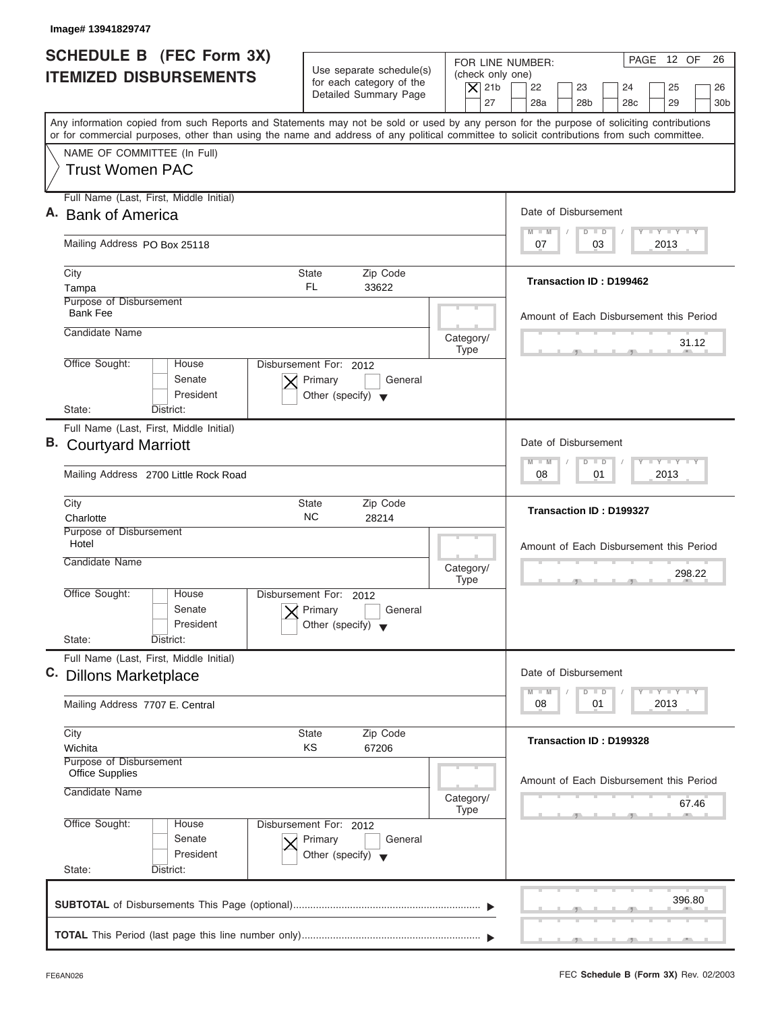| Image# 13941829747                                                                                                                                                                                                                                                                      |                                                                                      |                                                                  |                                                                                                                                    |
|-----------------------------------------------------------------------------------------------------------------------------------------------------------------------------------------------------------------------------------------------------------------------------------------|--------------------------------------------------------------------------------------|------------------------------------------------------------------|------------------------------------------------------------------------------------------------------------------------------------|
| <b>SCHEDULE B</b> (FEC Form 3X)<br><b>ITEMIZED DISBURSEMENTS</b>                                                                                                                                                                                                                        | Use separate schedule(s)<br>for each category of the<br>Detailed Summary Page        | FOR LINE NUMBER:<br>(check only one)<br>$ \mathsf{X} $ 21b<br>27 | PAGE 12 OF<br>26<br>22<br>23<br>24<br>25<br>26<br>28a<br>28 <sub>b</sub><br>28 <sub>c</sub><br>29<br>30 <sub>b</sub>               |
| Any information copied from such Reports and Statements may not be sold or used by any person for the purpose of soliciting contributions<br>or for commercial purposes, other than using the name and address of any political committee to solicit contributions from such committee. |                                                                                      |                                                                  |                                                                                                                                    |
| NAME OF COMMITTEE (In Full)<br><b>Trust Women PAC</b>                                                                                                                                                                                                                                   |                                                                                      |                                                                  |                                                                                                                                    |
| Full Name (Last, First, Middle Initial)<br>A. Bank of America                                                                                                                                                                                                                           |                                                                                      |                                                                  | Date of Disbursement                                                                                                               |
| Mailing Address PO Box 25118                                                                                                                                                                                                                                                            |                                                                                      |                                                                  | $\mathbf{I} \mathbf{Y} \mathbf{I} \mathbf{Y}$<br>$D$ $D$<br>$M - M$<br>07<br>2013<br>03                                            |
| City<br>Tampa                                                                                                                                                                                                                                                                           | State<br>Zip Code<br><b>FL</b><br>33622                                              |                                                                  | Transaction ID: D199462                                                                                                            |
| Purpose of Disbursement<br><b>Bank Fee</b>                                                                                                                                                                                                                                              |                                                                                      |                                                                  | Amount of Each Disbursement this Period                                                                                            |
| Candidate Name                                                                                                                                                                                                                                                                          |                                                                                      | Category/<br><b>Type</b>                                         | 31.12                                                                                                                              |
| Office Sought:<br>House<br>Senate<br>President<br>State:<br>District:                                                                                                                                                                                                                   | Disbursement For: 2012<br>Primary<br>General<br>Other (specify) $\blacktriangledown$ |                                                                  |                                                                                                                                    |
| Full Name (Last, First, Middle Initial)                                                                                                                                                                                                                                                 |                                                                                      |                                                                  |                                                                                                                                    |
| <b>B.</b> Courtyard Marriott                                                                                                                                                                                                                                                            |                                                                                      |                                                                  | Date of Disbursement                                                                                                               |
| Mailing Address 2700 Little Rock Road                                                                                                                                                                                                                                                   |                                                                                      |                                                                  | $-1 - Y - 1 - Y - 1 - Y$<br>$M - M$<br>$\Box$<br>$\overline{D}$<br>2013<br>08<br>01                                                |
| City<br>Charlotte                                                                                                                                                                                                                                                                       | Zip Code<br><b>State</b><br><b>NC</b><br>28214                                       |                                                                  | <b>Transaction ID: D199327</b>                                                                                                     |
| Purpose of Disbursement<br>Hotel<br>Candidate Name                                                                                                                                                                                                                                      |                                                                                      | Category/<br><b>Type</b>                                         | Amount of Each Disbursement this Period<br>298.22                                                                                  |
| Office Sought:<br>House<br>Senate<br>President<br>State:<br>District:                                                                                                                                                                                                                   | Disbursement For:<br>2012<br>Primary<br>General<br>Other (specify)                   |                                                                  | __                                                                                                                                 |
| Full Name (Last, First, Middle Initial)<br>C. Dillons Marketplace                                                                                                                                                                                                                       |                                                                                      |                                                                  | Date of Disbursement                                                                                                               |
| Mailing Address 7707 E. Central                                                                                                                                                                                                                                                         |                                                                                      |                                                                  | $\mathbf{I} \mathbf{Y}$ $\mathbf{I} \mathbf{Y}$ $\mathbf{I} \mathbf{Y}$<br>$M - M$<br>$\overline{D}$<br>$\Box$<br>2013<br>08<br>01 |
| City<br>Wichita                                                                                                                                                                                                                                                                         | Zip Code<br>State<br>ΚS<br>67206                                                     |                                                                  | <b>Transaction ID: D199328</b>                                                                                                     |
| Purpose of Disbursement<br><b>Office Supplies</b><br>Candidate Name                                                                                                                                                                                                                     |                                                                                      | Amount of Each Disbursement this Period                          |                                                                                                                                    |
|                                                                                                                                                                                                                                                                                         |                                                                                      | Category/<br><b>Type</b>                                         | 67.46                                                                                                                              |
| Office Sought:<br>House<br>Senate<br>President<br>State:<br>District:                                                                                                                                                                                                                   | Disbursement For: 2012<br>Primary<br>General<br>Other (specify) $\blacktriangledown$ |                                                                  |                                                                                                                                    |
|                                                                                                                                                                                                                                                                                         |                                                                                      |                                                                  | 396.80                                                                                                                             |
|                                                                                                                                                                                                                                                                                         |                                                                                      |                                                                  |                                                                                                                                    |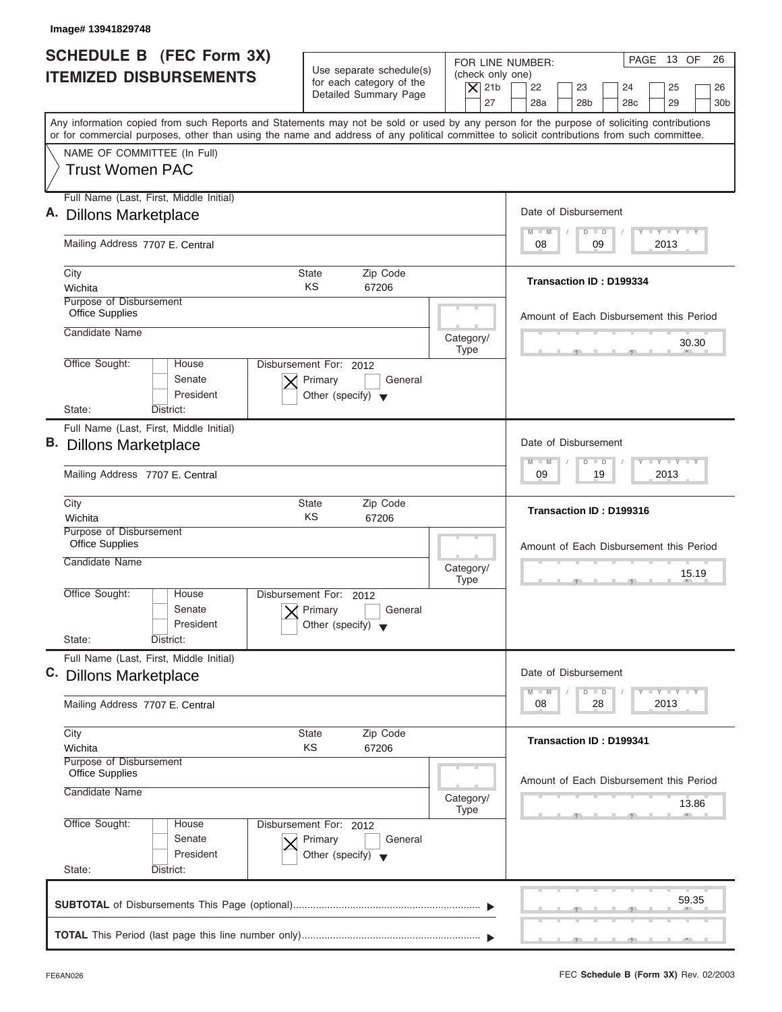| Image# 13941829748                                                                                                                                                                                                                                                                      |                                                                                      |                                                                  |                                                                                                                      |
|-----------------------------------------------------------------------------------------------------------------------------------------------------------------------------------------------------------------------------------------------------------------------------------------|--------------------------------------------------------------------------------------|------------------------------------------------------------------|----------------------------------------------------------------------------------------------------------------------|
| SCHEDULE B (FEC Form 3X)<br><b>ITEMIZED DISBURSEMENTS</b>                                                                                                                                                                                                                               | Use separate schedule(s)<br>for each category of the<br>Detailed Summary Page        | FOR LINE NUMBER:<br>(check only one)<br>$\overline{X}$ 21b<br>27 | PAGE 13 OF<br>26<br>22<br>23<br>24<br>25<br>26<br>28a<br>28 <sub>b</sub><br>28 <sub>c</sub><br>29<br>30 <sub>b</sub> |
| Any information copied from such Reports and Statements may not be sold or used by any person for the purpose of soliciting contributions<br>or for commercial purposes, other than using the name and address of any political committee to solicit contributions from such committee. |                                                                                      |                                                                  |                                                                                                                      |
| NAME OF COMMITTEE (In Full)<br><b>Trust Women PAC</b>                                                                                                                                                                                                                                   |                                                                                      |                                                                  |                                                                                                                      |
| Full Name (Last, First, Middle Initial)                                                                                                                                                                                                                                                 |                                                                                      |                                                                  | Date of Disbursement                                                                                                 |
| A. Dillons Marketplace                                                                                                                                                                                                                                                                  |                                                                                      |                                                                  | $T - Y = T - Y = T - Y$<br>$M - M$<br>$D$ $D$                                                                        |
| Mailing Address 7707 E. Central                                                                                                                                                                                                                                                         |                                                                                      |                                                                  | 09<br>2013<br>08                                                                                                     |
| City<br>Wichita                                                                                                                                                                                                                                                                         | Zip Code<br><b>State</b><br>KS<br>67206                                              |                                                                  | Transaction ID: D199334                                                                                              |
| Purpose of Disbursement<br><b>Office Supplies</b>                                                                                                                                                                                                                                       |                                                                                      |                                                                  | Amount of Each Disbursement this Period                                                                              |
| Candidate Name                                                                                                                                                                                                                                                                          |                                                                                      | Category/<br><b>Type</b>                                         | 30.30                                                                                                                |
| Office Sought:<br>House<br>Senate<br>President                                                                                                                                                                                                                                          | Disbursement For: 2012<br>Primary<br>General<br>Other (specify) $\blacktriangledown$ |                                                                  |                                                                                                                      |
| State:<br>District:<br>Full Name (Last, First, Middle Initial)                                                                                                                                                                                                                          |                                                                                      |                                                                  |                                                                                                                      |
| <b>B.</b> Dillons Marketplace                                                                                                                                                                                                                                                           |                                                                                      |                                                                  | Date of Disbursement                                                                                                 |
| Mailing Address 7707 E. Central                                                                                                                                                                                                                                                         |                                                                                      |                                                                  | <b>LEYTEY LEY</b><br>$M - M$<br>$\overline{D}$<br>$\Box$<br>19<br>2013<br>09                                         |
| City<br>Wichita                                                                                                                                                                                                                                                                         | Zip Code<br><b>State</b><br>KS<br>67206                                              |                                                                  | Transaction ID: D199316                                                                                              |
| Purpose of Disbursement<br><b>Office Supplies</b>                                                                                                                                                                                                                                       |                                                                                      |                                                                  | Amount of Each Disbursement this Period                                                                              |
| Candidate Name                                                                                                                                                                                                                                                                          |                                                                                      | Category/<br><b>Type</b>                                         | 15.19                                                                                                                |
| Office Sought:<br>House<br>Senate<br>President                                                                                                                                                                                                                                          | Disbursement For: 2012<br>Primary<br>General<br>Other (specify)                      |                                                                  |                                                                                                                      |
| State:<br>District:<br>Full Name (Last, First, Middle Initial)                                                                                                                                                                                                                          |                                                                                      |                                                                  |                                                                                                                      |
| C. Dillons Marketplace                                                                                                                                                                                                                                                                  |                                                                                      |                                                                  | Date of Disbursement<br>$T - Y = T - Y = T - Y$<br>$M - M$<br>D<br>$\Box$                                            |
| Mailing Address 7707 E. Central                                                                                                                                                                                                                                                         |                                                                                      |                                                                  | 2013<br>08<br>28                                                                                                     |
| City<br>Wichita                                                                                                                                                                                                                                                                         | Zip Code<br><b>State</b><br>ΚS<br>67206                                              |                                                                  | <b>Transaction ID: D199341</b>                                                                                       |
| Purpose of Disbursement<br><b>Office Supplies</b>                                                                                                                                                                                                                                       |                                                                                      |                                                                  | Amount of Each Disbursement this Period                                                                              |
| Candidate Name                                                                                                                                                                                                                                                                          |                                                                                      | Category/<br><b>Type</b>                                         | 13.86                                                                                                                |
| Office Sought:<br>House<br>Senate<br>President                                                                                                                                                                                                                                          | Disbursement For: 2012<br>Primary<br>General<br>Other (specify) $\blacktriangledown$ |                                                                  |                                                                                                                      |
| State:<br>District:                                                                                                                                                                                                                                                                     |                                                                                      |                                                                  |                                                                                                                      |
|                                                                                                                                                                                                                                                                                         |                                                                                      |                                                                  | 59.35                                                                                                                |
|                                                                                                                                                                                                                                                                                         |                                                                                      |                                                                  |                                                                                                                      |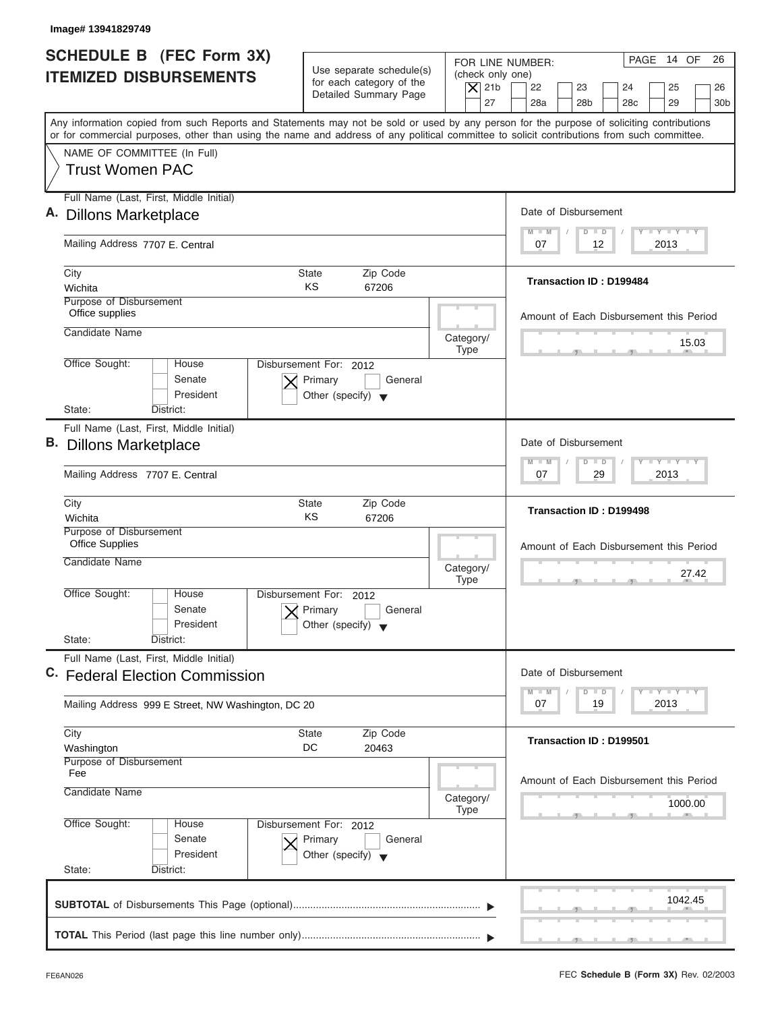| Image# 13941829749                                                                                                                                                                                                                                                                      |                                                                                      |                                                                  |                                                                                                                                 |
|-----------------------------------------------------------------------------------------------------------------------------------------------------------------------------------------------------------------------------------------------------------------------------------------|--------------------------------------------------------------------------------------|------------------------------------------------------------------|---------------------------------------------------------------------------------------------------------------------------------|
| <b>SCHEDULE B (FEC Form 3X)</b><br><b>ITEMIZED DISBURSEMENTS</b>                                                                                                                                                                                                                        | Use separate schedule(s)<br>for each category of the<br>Detailed Summary Page        | FOR LINE NUMBER:<br>(check only one)<br>$\vert$ $\chi$ 21b<br>27 | PAGE 14 OF<br>26<br>22<br>23<br>24<br>25<br>26<br>28a<br>28 <sub>b</sub><br>28 <sub>c</sub><br>29<br>30 <sub>b</sub>            |
| Any information copied from such Reports and Statements may not be sold or used by any person for the purpose of soliciting contributions<br>or for commercial purposes, other than using the name and address of any political committee to solicit contributions from such committee. |                                                                                      |                                                                  |                                                                                                                                 |
| NAME OF COMMITTEE (In Full)<br><b>Trust Women PAC</b>                                                                                                                                                                                                                                   |                                                                                      |                                                                  |                                                                                                                                 |
| Full Name (Last, First, Middle Initial)<br>A. Dillons Marketplace                                                                                                                                                                                                                       |                                                                                      |                                                                  | Date of Disbursement                                                                                                            |
| Mailing Address 7707 E. Central                                                                                                                                                                                                                                                         |                                                                                      |                                                                  | $L - Y = L - Y = L - Y$<br>$M - M$<br>$\Box$<br>$\Box$<br>07<br>12<br>2013                                                      |
| City<br>Wichita                                                                                                                                                                                                                                                                         | Zip Code<br><b>State</b><br>KS<br>67206                                              |                                                                  | <b>Transaction ID: D199484</b>                                                                                                  |
| Purpose of Disbursement<br>Office supplies<br>Candidate Name                                                                                                                                                                                                                            |                                                                                      | Category/                                                        | Amount of Each Disbursement this Period<br>15.03                                                                                |
| Office Sought:<br>House<br>Senate<br>President<br>State:<br>District:                                                                                                                                                                                                                   | Disbursement For: 2012<br>Primary<br>General<br>Other (specify) $\blacktriangledown$ | <b>Type</b>                                                      |                                                                                                                                 |
| Full Name (Last, First, Middle Initial)<br><b>B.</b> Dillons Marketplace                                                                                                                                                                                                                |                                                                                      |                                                                  | Date of Disbursement<br>$-1 - Y - 1 - Y - 1 - Y$<br>$\Box$<br>$M - M$<br>$\overline{D}$                                         |
| Mailing Address 7707 E. Central                                                                                                                                                                                                                                                         |                                                                                      |                                                                  | 29<br>2013<br>07                                                                                                                |
| City<br>Wichita                                                                                                                                                                                                                                                                         | Zip Code<br><b>State</b><br>KS<br>67206                                              |                                                                  | Transaction ID: D199498                                                                                                         |
| Purpose of Disbursement<br><b>Office Supplies</b><br>Candidate Name                                                                                                                                                                                                                     |                                                                                      | Category/<br><b>Type</b>                                         | Amount of Each Disbursement this Period<br>27.42                                                                                |
| Office Sought:<br>House<br>Senate<br>President<br>State:<br>District:                                                                                                                                                                                                                   | Disbursement For:<br>2012<br>Primary<br>General<br>Other (specify)                   |                                                                  |                                                                                                                                 |
| Full Name (Last, First, Middle Initial)<br>C. Federal Election Commission                                                                                                                                                                                                               |                                                                                      |                                                                  | Date of Disbursement<br>$\mathbf{I}$ $\mathbf{Y}$ $\mathbf{I}$ $\mathbf{Y}$ $\mathbf{I}$ $\mathbf{Y}$<br>$M - M$<br>D<br>$\Box$ |
| Mailing Address 999 E Street, NW Washington, DC 20                                                                                                                                                                                                                                      |                                                                                      |                                                                  | 2013<br>07<br>19                                                                                                                |
| City<br>Washington<br>Purpose of Disbursement                                                                                                                                                                                                                                           | Zip Code<br>State<br>DC<br>20463                                                     |                                                                  | <b>Transaction ID: D199501</b>                                                                                                  |
| Fee<br>Candidate Name                                                                                                                                                                                                                                                                   |                                                                                      | Category/<br><b>Type</b>                                         | Amount of Each Disbursement this Period<br>1000.00                                                                              |
| Office Sought:<br>House<br>Senate<br>President<br>State:<br>District:                                                                                                                                                                                                                   | Disbursement For: 2012<br>Primary<br>General<br>Other (specify) $\blacktriangledown$ |                                                                  |                                                                                                                                 |
|                                                                                                                                                                                                                                                                                         |                                                                                      |                                                                  | 1042.45                                                                                                                         |
|                                                                                                                                                                                                                                                                                         |                                                                                      |                                                                  |                                                                                                                                 |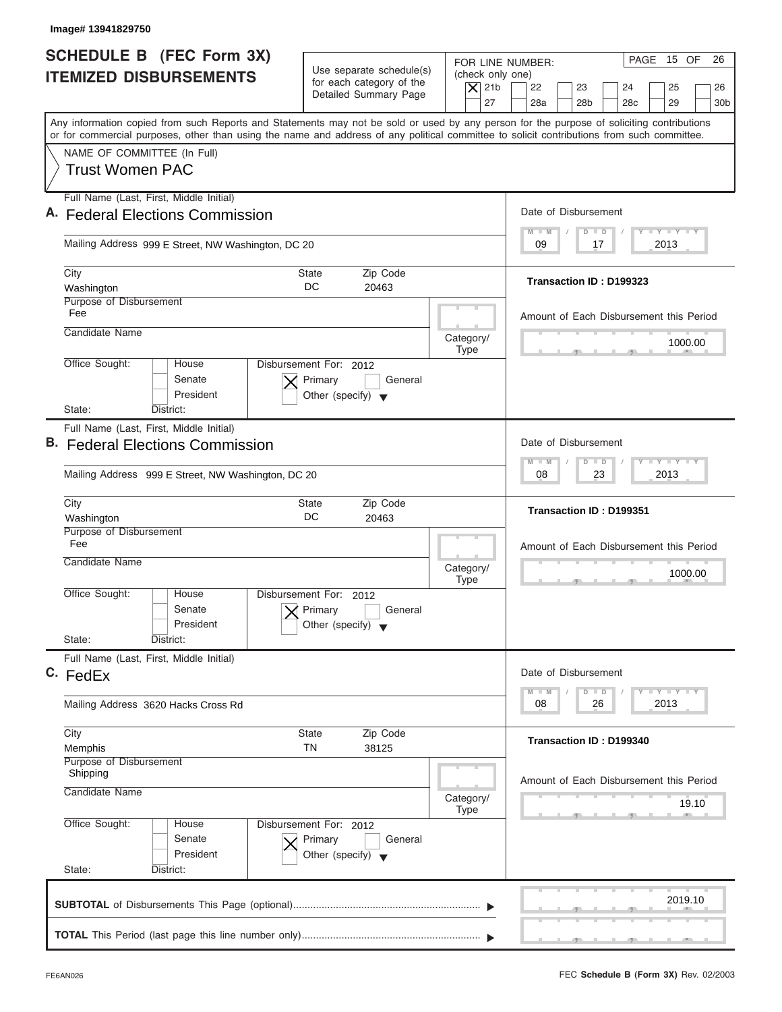| Image# 13941829750                                                                                                                                                                                                                                                                      |                                                                                                     |                                                                                                                                                                                          |
|-----------------------------------------------------------------------------------------------------------------------------------------------------------------------------------------------------------------------------------------------------------------------------------------|-----------------------------------------------------------------------------------------------------|------------------------------------------------------------------------------------------------------------------------------------------------------------------------------------------|
| <b>SCHEDULE B</b> (FEC Form 3X)<br><b>ITEMIZED DISBURSEMENTS</b>                                                                                                                                                                                                                        | Use separate schedule(s)<br>for each category of the<br>Detailed Summary Page                       | PAGE 15 OF<br>26<br>FOR LINE NUMBER:<br>(check only one)<br>$\vert$ $\chi$ 21b<br>22<br>23<br>24<br>25<br>26<br>27<br>28a<br>28 <sub>b</sub><br>29<br>28 <sub>c</sub><br>30 <sub>b</sub> |
| Any information copied from such Reports and Statements may not be sold or used by any person for the purpose of soliciting contributions<br>or for commercial purposes, other than using the name and address of any political committee to solicit contributions from such committee. |                                                                                                     |                                                                                                                                                                                          |
| NAME OF COMMITTEE (In Full)<br><b>Trust Women PAC</b>                                                                                                                                                                                                                                   |                                                                                                     |                                                                                                                                                                                          |
| Full Name (Last, First, Middle Initial)<br>A. Federal Elections Commission                                                                                                                                                                                                              |                                                                                                     | Date of Disbursement                                                                                                                                                                     |
| Mailing Address 999 E Street, NW Washington, DC 20                                                                                                                                                                                                                                      |                                                                                                     | $T - Y = T - Y = T - Y$<br>$D$ $D$<br>$M - M$<br>2013<br>09<br>17                                                                                                                        |
| City<br>Washington                                                                                                                                                                                                                                                                      | Zip Code<br>State<br>DC<br>20463                                                                    | Transaction ID: D199323                                                                                                                                                                  |
| Purpose of Disbursement<br>Fee<br>Candidate Name                                                                                                                                                                                                                                        | Category/                                                                                           | Amount of Each Disbursement this Period<br>1000.00                                                                                                                                       |
| Office Sought:<br>House<br>Senate<br>President<br>State:<br>District:                                                                                                                                                                                                                   | <b>Type</b><br>Disbursement For: 2012<br>Primary<br>General<br>Other (specify) $\blacktriangledown$ |                                                                                                                                                                                          |
| Full Name (Last, First, Middle Initial)<br>B. Federal Elections Commission<br>Mailing Address 999 E Street, NW Washington, DC 20                                                                                                                                                        |                                                                                                     | Date of Disbursement<br><b>LY LY LY</b><br>$\Box$<br>$M - M$<br>$\overline{D}$<br>2013<br>08<br>23                                                                                       |
| City<br>Washington                                                                                                                                                                                                                                                                      | Zip Code<br><b>State</b><br>DC<br>20463                                                             | Transaction ID: D199351                                                                                                                                                                  |
| Purpose of Disbursement<br>Fee<br>Candidate Name                                                                                                                                                                                                                                        | Category/<br><b>Type</b>                                                                            | Amount of Each Disbursement this Period<br>1000.00<br>- 51                                                                                                                               |
| Office Sought:<br>House<br>Senate<br>President<br>State:<br>District:                                                                                                                                                                                                                   | Disbursement For:<br>2012<br>Primary<br>General<br>Other (specify)                                  |                                                                                                                                                                                          |
| Full Name (Last, First, Middle Initial)<br>C. FedEx                                                                                                                                                                                                                                     |                                                                                                     | Date of Disbursement<br>$T - Y$ $T - Y$<br>$M - M$<br>$\Box$<br>D                                                                                                                        |
| Mailing Address 3620 Hacks Cross Rd                                                                                                                                                                                                                                                     |                                                                                                     | 2013<br>08<br>26                                                                                                                                                                         |
| City<br>Memphis                                                                                                                                                                                                                                                                         | Zip Code<br><b>State</b><br>TN<br>38125                                                             | Transaction ID: D199340                                                                                                                                                                  |
| Purpose of Disbursement<br>Shipping<br>Candidate Name                                                                                                                                                                                                                                   | Category/                                                                                           | Amount of Each Disbursement this Period<br>19.10                                                                                                                                         |
| Office Sought:<br>House<br>Senate<br>President<br>State:<br>District:                                                                                                                                                                                                                   | <b>Type</b><br>Disbursement For: 2012<br>Primary<br>General<br>Other (specify) $\blacktriangledown$ |                                                                                                                                                                                          |
|                                                                                                                                                                                                                                                                                         |                                                                                                     | 2019.10                                                                                                                                                                                  |
|                                                                                                                                                                                                                                                                                         |                                                                                                     |                                                                                                                                                                                          |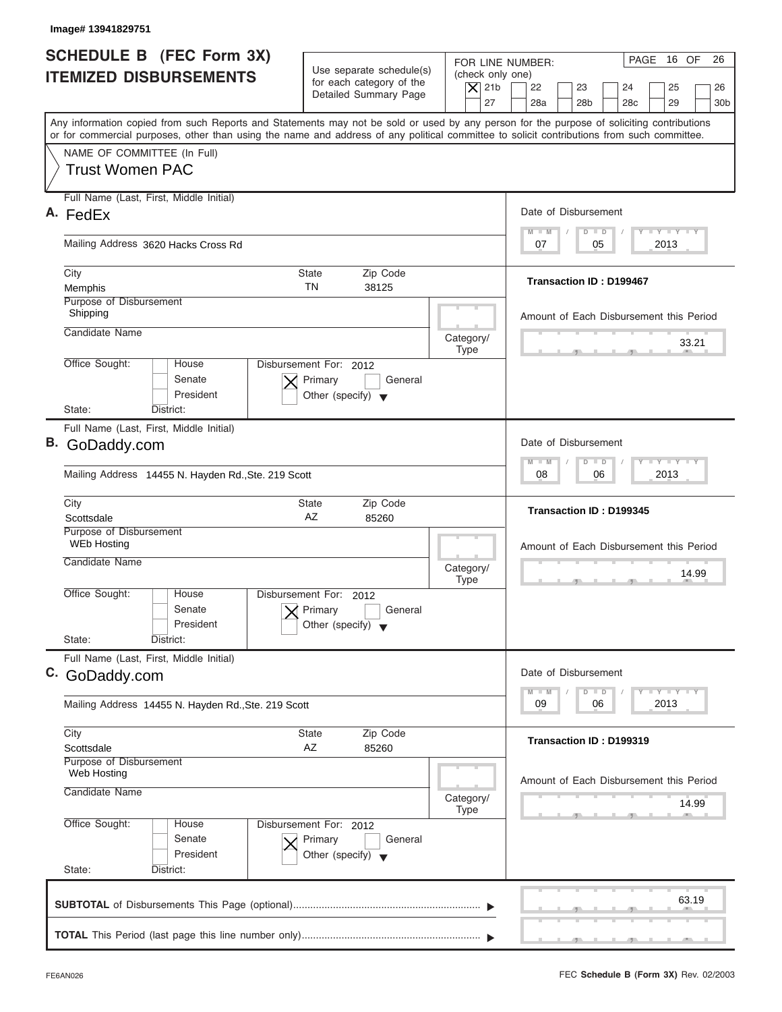| Image# 13941829751                                                                                                                         |                                                      |                                                            |                                                                                                                                           |
|--------------------------------------------------------------------------------------------------------------------------------------------|------------------------------------------------------|------------------------------------------------------------|-------------------------------------------------------------------------------------------------------------------------------------------|
| <b>SCHEDULE B</b> (FEC Form 3X)<br><b>ITEMIZED DISBURSEMENTS</b>                                                                           | Use separate schedule(s)<br>for each category of the | FOR LINE NUMBER:<br>(check only one)<br>$ \mathsf{X} $ 21b | PAGE 16 OF<br>26<br>22<br>23<br>24<br>25<br>26                                                                                            |
|                                                                                                                                            | Detailed Summary Page                                | 27                                                         | 28a<br>28 <sub>b</sub><br>28 <sub>c</sub><br>29<br>30 <sub>b</sub>                                                                        |
| or for commercial purposes, other than using the name and address of any political committee to solicit contributions from such committee. |                                                      |                                                            | Any information copied from such Reports and Statements may not be sold or used by any person for the purpose of soliciting contributions |
| NAME OF COMMITTEE (In Full)                                                                                                                |                                                      |                                                            |                                                                                                                                           |
| <b>Trust Women PAC</b>                                                                                                                     |                                                      |                                                            |                                                                                                                                           |
| Full Name (Last, First, Middle Initial)                                                                                                    |                                                      |                                                            | Date of Disbursement                                                                                                                      |
| A. FedEx                                                                                                                                   |                                                      |                                                            | $\mathbf{I} \mathbf{Y} \mathbf{I} \mathbf{Y}$<br>$M - M$<br>$D$ $D$                                                                       |
| Mailing Address 3620 Hacks Cross Rd                                                                                                        |                                                      |                                                            | 2013<br>07<br>05                                                                                                                          |
| City                                                                                                                                       | <b>State</b><br>Zip Code                             |                                                            | <b>Transaction ID: D199467</b>                                                                                                            |
| Memphis<br><b>Purpose of Disbursement</b>                                                                                                  | <b>TN</b><br>38125                                   |                                                            |                                                                                                                                           |
| Shipping                                                                                                                                   |                                                      |                                                            | Amount of Each Disbursement this Period                                                                                                   |
| Candidate Name                                                                                                                             |                                                      | Category/                                                  | 33.21                                                                                                                                     |
| Office Sought:<br>House                                                                                                                    | Disbursement For: 2012                               | <b>Type</b>                                                |                                                                                                                                           |
| Senate                                                                                                                                     | Primary<br>General                                   |                                                            |                                                                                                                                           |
| President                                                                                                                                  | Other (specify) $\blacktriangledown$                 |                                                            |                                                                                                                                           |
| State:<br>District:                                                                                                                        |                                                      |                                                            |                                                                                                                                           |
| Full Name (Last, First, Middle Initial)<br>B. GoDaddy.com                                                                                  |                                                      |                                                            | Date of Disbursement                                                                                                                      |
|                                                                                                                                            |                                                      |                                                            | $-1 - Y - 1 - Y - 1 - Y$<br>$M - M$<br>$\Box$<br>$\Box$                                                                                   |
| Mailing Address 14455 N. Hayden Rd., Ste. 219 Scott                                                                                        |                                                      |                                                            | 2013<br>08<br>06                                                                                                                          |
| City<br>Scottsdale                                                                                                                         | Zip Code<br>State<br>AZ<br>85260                     |                                                            | Transaction ID: D199345                                                                                                                   |
| Purpose of Disbursement                                                                                                                    |                                                      |                                                            |                                                                                                                                           |
| <b>WEb Hosting</b>                                                                                                                         |                                                      |                                                            | Amount of Each Disbursement this Period                                                                                                   |
| Candidate Name                                                                                                                             |                                                      | Category/                                                  | 14.99                                                                                                                                     |
| Office Sought:<br>House                                                                                                                    | Disbursement For:<br>2012                            | <b>Type</b>                                                | $7^{\circ}$                                                                                                                               |
| Senate                                                                                                                                     | Primary<br>General                                   |                                                            |                                                                                                                                           |
| President<br>State:<br>District:                                                                                                           | Other (specify)                                      |                                                            |                                                                                                                                           |
| Full Name (Last, First, Middle Initial)                                                                                                    |                                                      |                                                            |                                                                                                                                           |
| C. GoDaddy.com                                                                                                                             |                                                      |                                                            | Date of Disbursement                                                                                                                      |
|                                                                                                                                            |                                                      |                                                            | $\mathbf{I}$ $\mathbf{Y}$ $\mathbf{I}$ $\mathbf{Y}$ $\mathbf{I}$ $\mathbf{Y}$<br>$M - M$<br>D<br>$\Box$<br>2013<br>09<br>06               |
| Mailing Address 14455 N. Hayden Rd., Ste. 219 Scott                                                                                        |                                                      |                                                            |                                                                                                                                           |
| City                                                                                                                                       | Zip Code<br><b>State</b>                             |                                                            | Transaction ID: D199319                                                                                                                   |
| Scottsdale<br>Purpose of Disbursement                                                                                                      | AZ<br>85260                                          |                                                            |                                                                                                                                           |
| Web Hosting                                                                                                                                |                                                      |                                                            | Amount of Each Disbursement this Period                                                                                                   |
| Candidate Name                                                                                                                             |                                                      | Category/                                                  | 14.99                                                                                                                                     |
| Office Sought:<br>House                                                                                                                    | Disbursement For: 2012                               | <b>Type</b>                                                |                                                                                                                                           |
| Senate                                                                                                                                     | Primary<br>General                                   |                                                            |                                                                                                                                           |
| President                                                                                                                                  | Other (specify) $\blacktriangledown$                 |                                                            |                                                                                                                                           |
| State:<br>District:                                                                                                                        |                                                      |                                                            |                                                                                                                                           |
|                                                                                                                                            |                                                      |                                                            | 63.19                                                                                                                                     |
|                                                                                                                                            |                                                      |                                                            |                                                                                                                                           |
|                                                                                                                                            |                                                      |                                                            |                                                                                                                                           |
|                                                                                                                                            |                                                      |                                                            |                                                                                                                                           |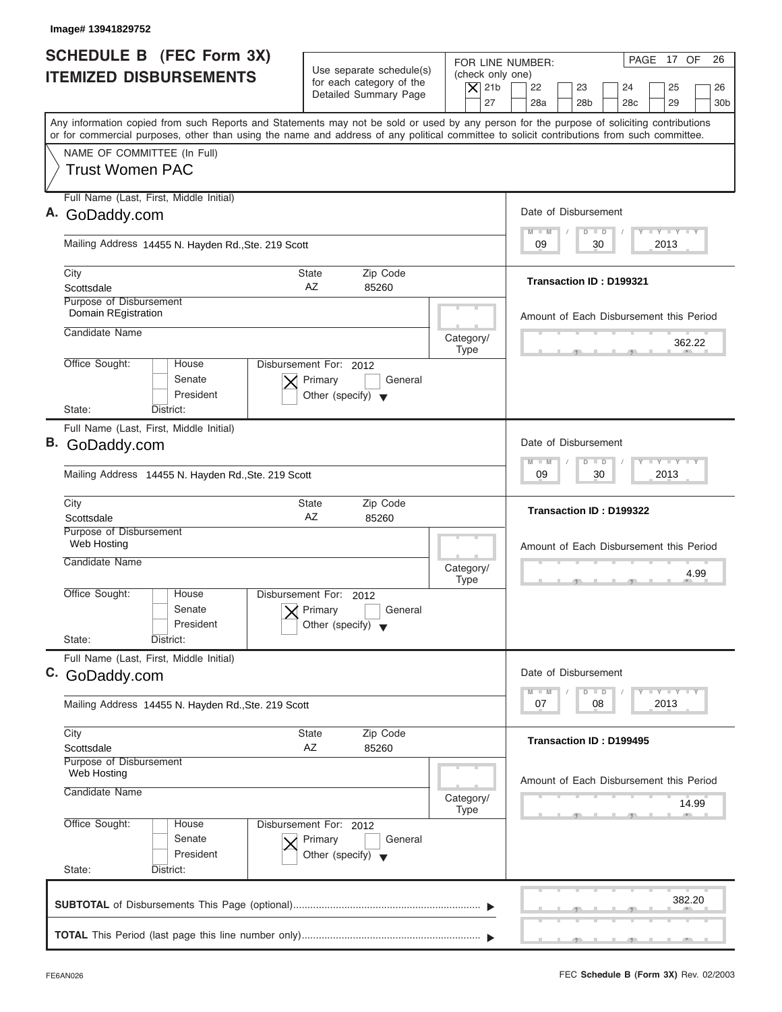| SCHEDULE B (FEC Form 3X)<br><b>ITEMIZED DISBURSEMENTS</b><br>Any information copied from such Reports and Statements may not be sold or used by any person for the purpose of soliciting contributions<br>or for commercial purposes, other than using the name and address of any political committee to solicit contributions from such committee.<br>NAME OF COMMITTEE (In Full)<br><b>Trust Women PAC</b><br>Full Name (Last, First, Middle Initial)<br>A. GoDaddy.com<br>Mailing Address 14455 N. Hayden Rd., Ste. 219 Scott<br>City<br>Scottsdale<br>Purpose of Disbursement<br>Domain REgistration<br>Candidate Name<br>Office Sought:<br>House<br>Senate<br>President<br>State:<br>District:<br>Full Name (Last, First, Middle Initial)<br>B. GoDaddy.com | Use separate schedule(s)<br>for each category of the<br>Detailed Summary Page<br>State<br>Zip Code<br>AZ<br>85260 | FOR LINE NUMBER:<br>(check only one)<br>$\overline{X}$ 21b<br>27 | PAGE 17 OF<br>26<br>22<br>23<br>24<br>25<br>26<br>28a<br>28 <sub>b</sub><br>28 <sub>c</sub><br>29<br>30 <sub>b</sub><br>Date of Disbursement<br>$T - Y = T - Y = T - Y$<br>$M - M$<br>$D$ $D$ |
|-------------------------------------------------------------------------------------------------------------------------------------------------------------------------------------------------------------------------------------------------------------------------------------------------------------------------------------------------------------------------------------------------------------------------------------------------------------------------------------------------------------------------------------------------------------------------------------------------------------------------------------------------------------------------------------------------------------------------------------------------------------------|-------------------------------------------------------------------------------------------------------------------|------------------------------------------------------------------|-----------------------------------------------------------------------------------------------------------------------------------------------------------------------------------------------|
|                                                                                                                                                                                                                                                                                                                                                                                                                                                                                                                                                                                                                                                                                                                                                                   |                                                                                                                   |                                                                  |                                                                                                                                                                                               |
|                                                                                                                                                                                                                                                                                                                                                                                                                                                                                                                                                                                                                                                                                                                                                                   |                                                                                                                   |                                                                  |                                                                                                                                                                                               |
|                                                                                                                                                                                                                                                                                                                                                                                                                                                                                                                                                                                                                                                                                                                                                                   |                                                                                                                   |                                                                  |                                                                                                                                                                                               |
|                                                                                                                                                                                                                                                                                                                                                                                                                                                                                                                                                                                                                                                                                                                                                                   |                                                                                                                   |                                                                  |                                                                                                                                                                                               |
|                                                                                                                                                                                                                                                                                                                                                                                                                                                                                                                                                                                                                                                                                                                                                                   |                                                                                                                   |                                                                  | 30<br>2013<br>09                                                                                                                                                                              |
|                                                                                                                                                                                                                                                                                                                                                                                                                                                                                                                                                                                                                                                                                                                                                                   |                                                                                                                   |                                                                  | <b>Transaction ID: D199321</b>                                                                                                                                                                |
|                                                                                                                                                                                                                                                                                                                                                                                                                                                                                                                                                                                                                                                                                                                                                                   |                                                                                                                   |                                                                  | Amount of Each Disbursement this Period                                                                                                                                                       |
|                                                                                                                                                                                                                                                                                                                                                                                                                                                                                                                                                                                                                                                                                                                                                                   |                                                                                                                   | Category/<br><b>Type</b>                                         | 362.22                                                                                                                                                                                        |
|                                                                                                                                                                                                                                                                                                                                                                                                                                                                                                                                                                                                                                                                                                                                                                   | Disbursement For: 2012<br>Primary<br>General<br>Other (specify) $\blacktriangledown$                              |                                                                  |                                                                                                                                                                                               |
|                                                                                                                                                                                                                                                                                                                                                                                                                                                                                                                                                                                                                                                                                                                                                                   |                                                                                                                   |                                                                  |                                                                                                                                                                                               |
| Mailing Address 14455 N. Hayden Rd., Ste. 219 Scott                                                                                                                                                                                                                                                                                                                                                                                                                                                                                                                                                                                                                                                                                                               |                                                                                                                   |                                                                  | Date of Disbursement<br>$-1 - Y - 1 - Y - 1 - Y$<br>$M - M$<br>$\Box$<br>$\Box$<br>2013<br>09<br>30                                                                                           |
|                                                                                                                                                                                                                                                                                                                                                                                                                                                                                                                                                                                                                                                                                                                                                                   |                                                                                                                   |                                                                  |                                                                                                                                                                                               |
| City<br>Scottsdale                                                                                                                                                                                                                                                                                                                                                                                                                                                                                                                                                                                                                                                                                                                                                | Zip Code<br><b>State</b><br>AZ<br>85260                                                                           |                                                                  | Transaction ID: D199322                                                                                                                                                                       |
| Purpose of Disbursement<br>Web Hosting<br>Candidate Name                                                                                                                                                                                                                                                                                                                                                                                                                                                                                                                                                                                                                                                                                                          |                                                                                                                   |                                                                  | Amount of Each Disbursement this Period                                                                                                                                                       |
|                                                                                                                                                                                                                                                                                                                                                                                                                                                                                                                                                                                                                                                                                                                                                                   |                                                                                                                   | Category/<br><b>Type</b>                                         | 4.99<br>$-7$                                                                                                                                                                                  |
| Office Sought:<br>House<br>Senate<br>President                                                                                                                                                                                                                                                                                                                                                                                                                                                                                                                                                                                                                                                                                                                    | Disbursement For: 2012<br>Primary<br>General<br>Other (specify)                                                   |                                                                  |                                                                                                                                                                                               |
| State:<br>District:                                                                                                                                                                                                                                                                                                                                                                                                                                                                                                                                                                                                                                                                                                                                               |                                                                                                                   |                                                                  |                                                                                                                                                                                               |
| Full Name (Last, First, Middle Initial)<br>C. GoDaddy.com                                                                                                                                                                                                                                                                                                                                                                                                                                                                                                                                                                                                                                                                                                         |                                                                                                                   |                                                                  | Date of Disbursement<br>$T - Y = Y - T Y$<br>$M - M$<br>$\overline{D}$<br>$\Box$                                                                                                              |
| Mailing Address 14455 N. Hayden Rd., Ste. 219 Scott                                                                                                                                                                                                                                                                                                                                                                                                                                                                                                                                                                                                                                                                                                               |                                                                                                                   |                                                                  | 2013<br>07<br>08                                                                                                                                                                              |
| City<br>Scottsdale<br>Purpose of Disbursement                                                                                                                                                                                                                                                                                                                                                                                                                                                                                                                                                                                                                                                                                                                     | Zip Code<br><b>State</b><br>AZ<br>85260                                                                           |                                                                  | Transaction ID: D199495                                                                                                                                                                       |
| Web Hosting<br>Candidate Name                                                                                                                                                                                                                                                                                                                                                                                                                                                                                                                                                                                                                                                                                                                                     |                                                                                                                   | Category/                                                        | Amount of Each Disbursement this Period<br>14.99                                                                                                                                              |
| Office Sought:<br>House<br>Senate<br>President<br>State:<br>District:                                                                                                                                                                                                                                                                                                                                                                                                                                                                                                                                                                                                                                                                                             | Disbursement For: 2012                                                                                            | <b>Type</b>                                                      |                                                                                                                                                                                               |
|                                                                                                                                                                                                                                                                                                                                                                                                                                                                                                                                                                                                                                                                                                                                                                   | Primary<br>General<br>Other (specify) $\blacktriangledown$                                                        |                                                                  |                                                                                                                                                                                               |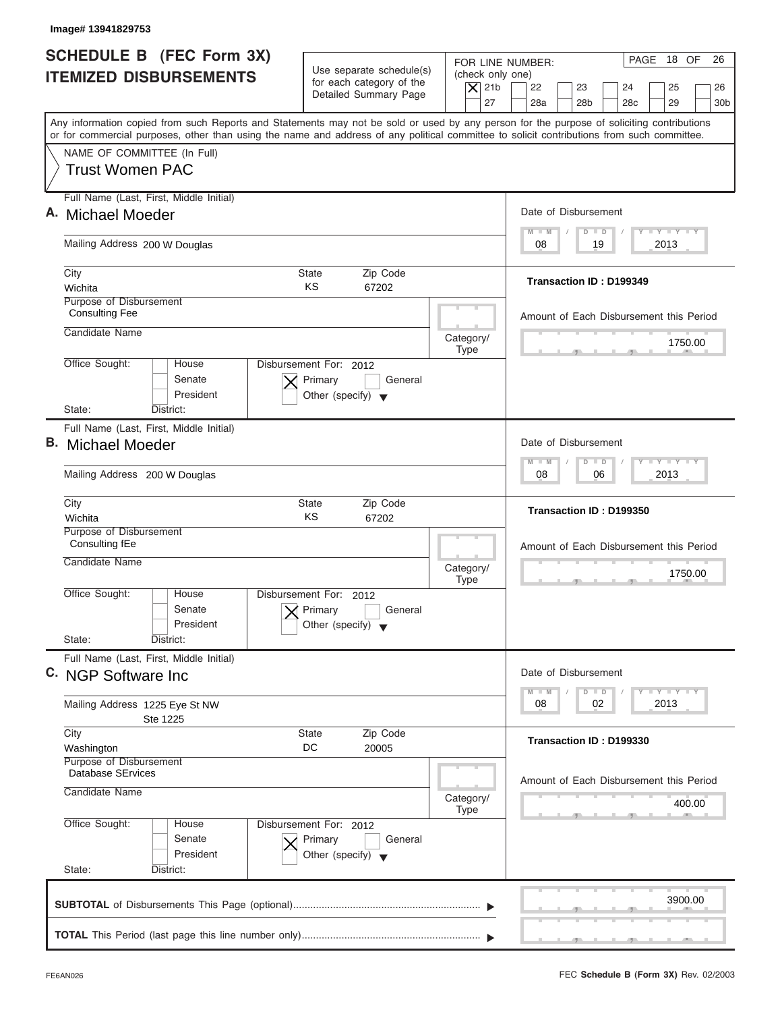| Image# 13941829753                                    |                                                                               |                                                                                                                                                                                                    |
|-------------------------------------------------------|-------------------------------------------------------------------------------|----------------------------------------------------------------------------------------------------------------------------------------------------------------------------------------------------|
| <b>SCHEDULE B (FEC Form 3X)</b>                       |                                                                               | PAGE 18 OF<br>FOR LINE NUMBER:                                                                                                                                                                     |
| <b>ITEMIZED DISBURSEMENTS</b>                         | Use separate schedule(s)<br>for each category of the<br>Detailed Summary Page | (check only one)<br>$\vert$ $\chi$ 21b<br>22<br>23<br>24<br>25                                                                                                                                     |
|                                                       |                                                                               | 27<br>28a<br>28 <sub>b</sub><br>28 <sub>c</sub><br>29<br>Any information copied from such Reports and Statements may not be sold or used by any person for the purpose of soliciting contributions |
|                                                       |                                                                               | or for commercial purposes, other than using the name and address of any political committee to solicit contributions from such committee.                                                         |
| NAME OF COMMITTEE (In Full)<br><b>Trust Women PAC</b> |                                                                               |                                                                                                                                                                                                    |
| Full Name (Last, First, Middle Initial)               |                                                                               |                                                                                                                                                                                                    |
| A. Michael Moeder                                     |                                                                               | Date of Disbursement                                                                                                                                                                               |
| Mailing Address 200 W Douglas                         |                                                                               | $T - Y = T - Y = T - Y$<br>$M - M$<br>$D$ $D$<br>19<br>2013<br>08                                                                                                                                  |
| City                                                  | <b>State</b><br>Zip Code                                                      | Transaction ID: D199349                                                                                                                                                                            |
| Wichita<br>Purpose of Disbursement                    | KS<br>67202                                                                   |                                                                                                                                                                                                    |
| <b>Consulting Fee</b>                                 |                                                                               | Amount of Each Disbursement this Period                                                                                                                                                            |
| Candidate Name                                        |                                                                               | Category/<br>1750.00                                                                                                                                                                               |
| Office Sought:<br>House                               | Disbursement For: 2012                                                        | <b>Type</b>                                                                                                                                                                                        |
| Senate                                                | Primary<br>General                                                            |                                                                                                                                                                                                    |
| President<br>State:<br>District:                      | Other (specify) $\blacktriangledown$                                          |                                                                                                                                                                                                    |
| Full Name (Last, First, Middle Initial)               |                                                                               |                                                                                                                                                                                                    |
| <b>B.</b> Michael Moeder                              |                                                                               | Date of Disbursement                                                                                                                                                                               |
|                                                       |                                                                               | $-1 - Y - 1 - Y - 1 - Y$<br>$M - M$<br>$D$ $D$                                                                                                                                                     |
| Mailing Address 200 W Douglas                         |                                                                               | 06<br>2013<br>08                                                                                                                                                                                   |
| City<br>Wichita                                       | Zip Code<br><b>State</b><br>KS<br>67202                                       | Transaction ID: D199350                                                                                                                                                                            |
| Purpose of Disbursement                               |                                                                               |                                                                                                                                                                                                    |
| Consulting fEe<br>Candidate Name                      |                                                                               | Amount of Each Disbursement this Period                                                                                                                                                            |
|                                                       |                                                                               | Category/<br>1750.00<br><b>Type</b><br>$-7$                                                                                                                                                        |
| Office Sought:<br>House                               | Disbursement For: 2012                                                        |                                                                                                                                                                                                    |
| Senate                                                | Primary<br>General                                                            |                                                                                                                                                                                                    |
| President<br>State:<br>District:                      | Other (specify) $\blacktriangledown$                                          |                                                                                                                                                                                                    |
| Full Name (Last, First, Middle Initial)               |                                                                               |                                                                                                                                                                                                    |
| C. NGP Software Inc.                                  |                                                                               | Date of Disbursement                                                                                                                                                                               |
| Mailing Address 1225 Eye St NW                        |                                                                               | $T - Y = T - Y = T - Y$<br>$M - M$<br>$\overline{D}$<br>$\Box$<br>2013<br>08<br>02                                                                                                                 |
| Ste 1225                                              |                                                                               |                                                                                                                                                                                                    |
| City                                                  | Zip Code<br><b>State</b><br>DC<br>20005                                       | Transaction ID: D199330                                                                                                                                                                            |
|                                                       |                                                                               |                                                                                                                                                                                                    |
| Washington<br>Purpose of Disbursement                 |                                                                               |                                                                                                                                                                                                    |
| Database SErvices                                     |                                                                               | Amount of Each Disbursement this Period                                                                                                                                                            |
| Candidate Name                                        |                                                                               | Category/<br>400.00                                                                                                                                                                                |
| Office Sought:<br>House                               | Disbursement For: 2012                                                        | <b>Type</b>                                                                                                                                                                                        |
| Senate                                                | Primary<br>General                                                            |                                                                                                                                                                                                    |
| President                                             | Other (specify) $\blacktriangledown$                                          |                                                                                                                                                                                                    |
| State:<br>District:                                   |                                                                               |                                                                                                                                                                                                    |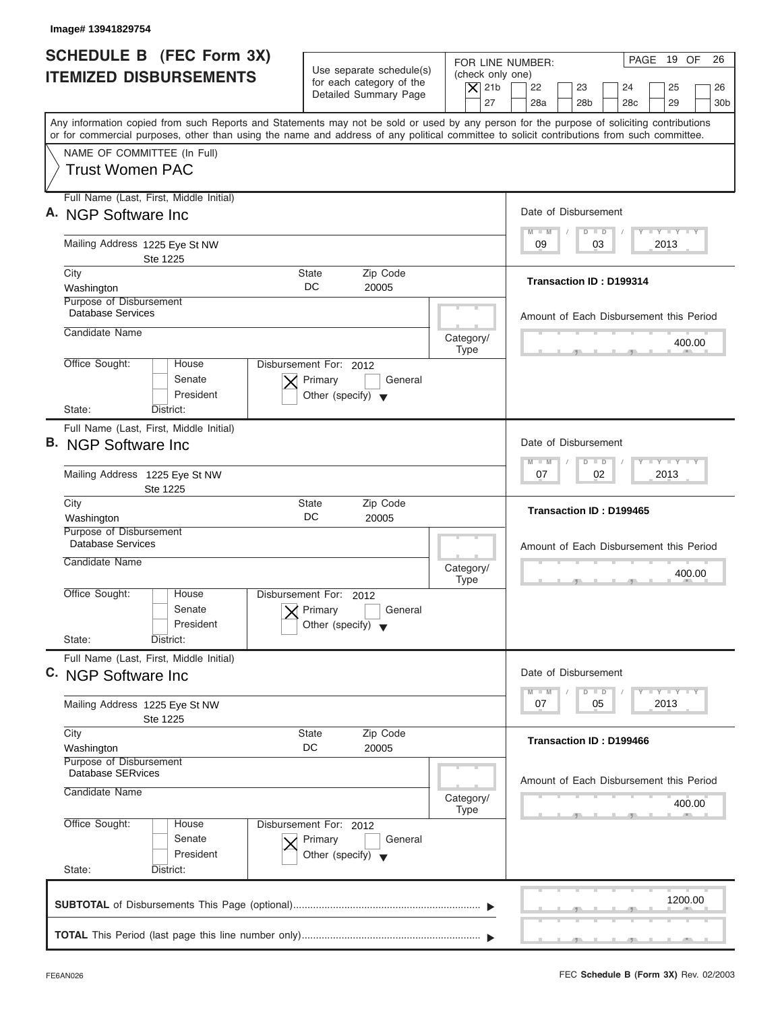| Image# 13941829754                                                                                                                                                                                                                                                                      |                                                                                                                               |                                                                                                                                          |
|-----------------------------------------------------------------------------------------------------------------------------------------------------------------------------------------------------------------------------------------------------------------------------------------|-------------------------------------------------------------------------------------------------------------------------------|------------------------------------------------------------------------------------------------------------------------------------------|
| <b>SCHEDULE B (FEC Form 3X)</b><br><b>ITEMIZED DISBURSEMENTS</b>                                                                                                                                                                                                                        | Use separate schedule(s)<br>(check only one)<br>for each category of the<br>$\vert$ $\chi$ 21b<br>Detailed Summary Page<br>27 | PAGE 19 OF<br>26<br>FOR LINE NUMBER:<br>22<br>23<br>24<br>25<br>26<br>28a<br>28 <sub>b</sub><br>28 <sub>c</sub><br>29<br>30 <sub>b</sub> |
| Any information copied from such Reports and Statements may not be sold or used by any person for the purpose of soliciting contributions<br>or for commercial purposes, other than using the name and address of any political committee to solicit contributions from such committee. |                                                                                                                               |                                                                                                                                          |
| NAME OF COMMITTEE (In Full)<br><b>Trust Women PAC</b>                                                                                                                                                                                                                                   |                                                                                                                               |                                                                                                                                          |
| Full Name (Last, First, Middle Initial)<br>A. NGP Software Inc.                                                                                                                                                                                                                         |                                                                                                                               | Date of Disbursement                                                                                                                     |
| Mailing Address 1225 Eye St NW<br>Ste 1225                                                                                                                                                                                                                                              |                                                                                                                               | $T - Y = T - Y = T - Y$<br>$M - M$<br>$D$ $D$<br>03<br>2013<br>09                                                                        |
| City<br>Washington                                                                                                                                                                                                                                                                      | Zip Code<br>State<br>DC<br>20005                                                                                              | <b>Transaction ID: D199314</b>                                                                                                           |
| Purpose of Disbursement<br><b>Database Services</b>                                                                                                                                                                                                                                     |                                                                                                                               | Amount of Each Disbursement this Period                                                                                                  |
| Candidate Name                                                                                                                                                                                                                                                                          | Category/<br><b>Type</b>                                                                                                      | 400.00                                                                                                                                   |
| Office Sought:<br>House<br>Senate<br>President<br>State:<br>District:                                                                                                                                                                                                                   | Disbursement For: 2012<br>Primary<br>General<br>Other (specify) $\blacktriangledown$                                          |                                                                                                                                          |
| Full Name (Last, First, Middle Initial)                                                                                                                                                                                                                                                 |                                                                                                                               |                                                                                                                                          |
| <b>B.</b> NGP Software Inc                                                                                                                                                                                                                                                              |                                                                                                                               | Date of Disbursement                                                                                                                     |
| Mailing Address 1225 Eye St NW<br>Ste 1225                                                                                                                                                                                                                                              |                                                                                                                               | $-Y - Y - Y - Y$<br>M<br>W<br>$D$ $D$<br>02<br>2013<br>07                                                                                |
| City<br>Washington                                                                                                                                                                                                                                                                      | Zip Code<br><b>State</b><br>DC<br>20005                                                                                       | Transaction ID: D199465                                                                                                                  |
| Purpose of Disbursement<br><b>Database Services</b><br>Candidate Name                                                                                                                                                                                                                   |                                                                                                                               | Amount of Each Disbursement this Period                                                                                                  |
|                                                                                                                                                                                                                                                                                         | Category/<br><b>Type</b>                                                                                                      | 400.00<br>$\sim$                                                                                                                         |
| Office Sought:<br>House<br>Senate<br>President                                                                                                                                                                                                                                          | Disbursement For: 2012<br>Primary<br>General<br>Other (specify) $\blacktriangledown$                                          |                                                                                                                                          |
| State:<br>District:<br>Full Name (Last, First, Middle Initial)                                                                                                                                                                                                                          |                                                                                                                               |                                                                                                                                          |
| C. NGP Software Inc.                                                                                                                                                                                                                                                                    |                                                                                                                               | Date of Disbursement<br><b>LY LY LY</b><br>M<br>$\blacksquare$<br>D<br>$\Box$                                                            |
| Mailing Address 1225 Eye St NW<br>Ste 1225                                                                                                                                                                                                                                              |                                                                                                                               | 2013<br>07<br>05                                                                                                                         |
| City<br>Washington                                                                                                                                                                                                                                                                      | Zip Code<br>State<br>DC<br>20005                                                                                              | Transaction ID: D199466                                                                                                                  |
| Purpose of Disbursement<br><b>Database SERvices</b>                                                                                                                                                                                                                                     |                                                                                                                               | Amount of Each Disbursement this Period                                                                                                  |
| Candidate Name                                                                                                                                                                                                                                                                          | Category/<br><b>Type</b>                                                                                                      | 400.00                                                                                                                                   |
| Office Sought:<br>House<br>Senate<br>President                                                                                                                                                                                                                                          | Disbursement For: 2012<br>Primary<br>General<br>Other (specify) $\blacktriangledown$                                          |                                                                                                                                          |
| State:<br>District:                                                                                                                                                                                                                                                                     |                                                                                                                               |                                                                                                                                          |
|                                                                                                                                                                                                                                                                                         |                                                                                                                               | 1200.00                                                                                                                                  |
|                                                                                                                                                                                                                                                                                         |                                                                                                                               |                                                                                                                                          |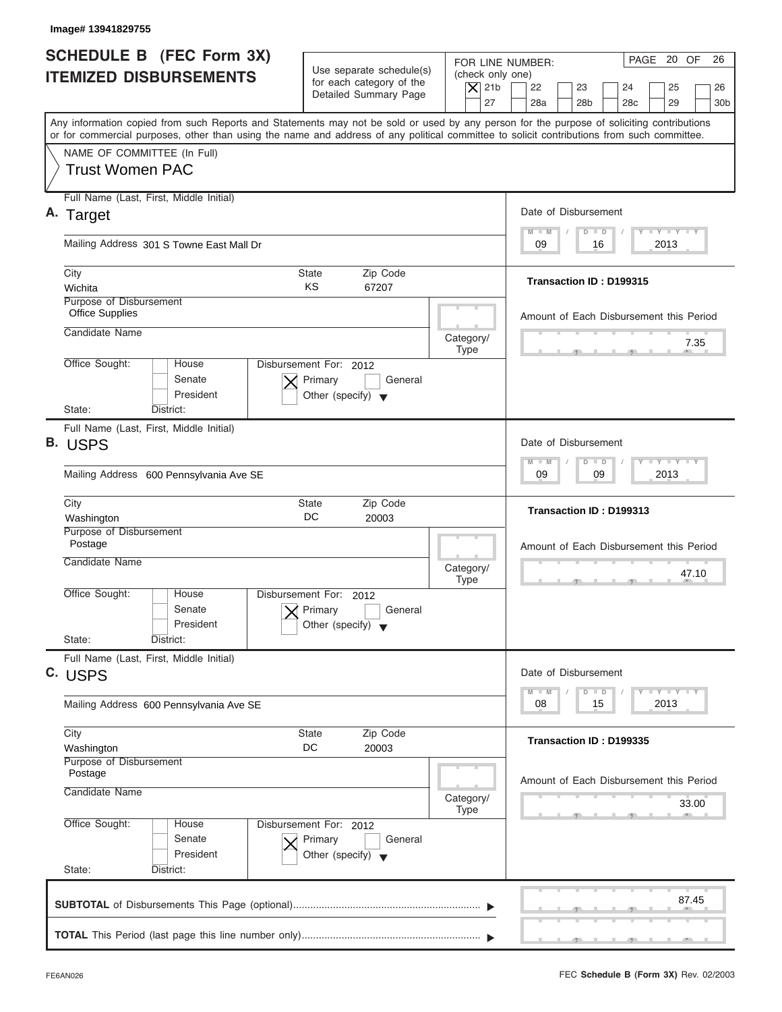| Image# 13941829755                                                                                                                                                                                                                                                                      |                                                                                      |                                                                  |                                                                                                                      |
|-----------------------------------------------------------------------------------------------------------------------------------------------------------------------------------------------------------------------------------------------------------------------------------------|--------------------------------------------------------------------------------------|------------------------------------------------------------------|----------------------------------------------------------------------------------------------------------------------|
| SCHEDULE B (FEC Form 3X)<br><b>ITEMIZED DISBURSEMENTS</b>                                                                                                                                                                                                                               | Use separate schedule(s)<br>for each category of the<br>Detailed Summary Page        | FOR LINE NUMBER:<br>(check only one)<br>$\vert$ $\chi$ 21b<br>27 | PAGE 20 OF<br>26<br>22<br>23<br>24<br>25<br>26<br>28a<br>28 <sub>b</sub><br>28 <sub>c</sub><br>29<br>30 <sub>b</sub> |
| Any information copied from such Reports and Statements may not be sold or used by any person for the purpose of soliciting contributions<br>or for commercial purposes, other than using the name and address of any political committee to solicit contributions from such committee. |                                                                                      |                                                                  |                                                                                                                      |
| NAME OF COMMITTEE (In Full)<br><b>Trust Women PAC</b>                                                                                                                                                                                                                                   |                                                                                      |                                                                  |                                                                                                                      |
| Full Name (Last, First, Middle Initial)                                                                                                                                                                                                                                                 |                                                                                      |                                                                  |                                                                                                                      |
| A. Target                                                                                                                                                                                                                                                                               |                                                                                      |                                                                  | Date of Disbursement                                                                                                 |
| Mailing Address 301 S Towne East Mall Dr                                                                                                                                                                                                                                                |                                                                                      |                                                                  | $T - Y = T - Y = T - Y$<br>$D$ $D$<br>$M - M$<br>09<br>2013<br>16                                                    |
| City<br>Wichita                                                                                                                                                                                                                                                                         | Zip Code<br><b>State</b><br>KS<br>67207                                              |                                                                  | Transaction ID: D199315                                                                                              |
| Purpose of Disbursement                                                                                                                                                                                                                                                                 |                                                                                      |                                                                  |                                                                                                                      |
| <b>Office Supplies</b><br>Candidate Name                                                                                                                                                                                                                                                |                                                                                      | Category/                                                        | Amount of Each Disbursement this Period                                                                              |
|                                                                                                                                                                                                                                                                                         |                                                                                      | <b>Type</b>                                                      | 7.35                                                                                                                 |
| Office Sought:<br>House<br>Senate<br>President<br>State:<br>District:                                                                                                                                                                                                                   | Disbursement For: 2012<br>Primary<br>General<br>Other (specify) $\blacktriangledown$ |                                                                  |                                                                                                                      |
| Full Name (Last, First, Middle Initial)<br>B. USPS                                                                                                                                                                                                                                      |                                                                                      |                                                                  | Date of Disbursement                                                                                                 |
| Mailing Address 600 Pennsylvania Ave SE                                                                                                                                                                                                                                                 |                                                                                      |                                                                  | $-1 - Y - 1 - Y - 1 - Y$<br>$\Box$<br>$M - M$<br>$\overline{D}$<br>09<br>2013<br>09                                  |
|                                                                                                                                                                                                                                                                                         |                                                                                      |                                                                  |                                                                                                                      |
| City<br>Washington                                                                                                                                                                                                                                                                      | Zip Code<br><b>State</b><br>DC<br>20003                                              |                                                                  | Transaction ID: D199313                                                                                              |
| Purpose of Disbursement<br>Postage                                                                                                                                                                                                                                                      |                                                                                      |                                                                  | Amount of Each Disbursement this Period                                                                              |
| Candidate Name                                                                                                                                                                                                                                                                          |                                                                                      | Category/<br><b>Type</b>                                         | 47.10                                                                                                                |
| Office Sought:<br>House<br>Senate<br>President                                                                                                                                                                                                                                          | Disbursement For:<br>2012<br>Primary<br>General<br>Other (specify)                   |                                                                  |                                                                                                                      |
| State:<br>District:<br>Full Name (Last, First, Middle Initial)                                                                                                                                                                                                                          |                                                                                      |                                                                  |                                                                                                                      |
| C. USPS                                                                                                                                                                                                                                                                                 |                                                                                      |                                                                  | Date of Disbursement<br><b>LY LY LY</b>                                                                              |
| Mailing Address 600 Pennsylvania Ave SE                                                                                                                                                                                                                                                 |                                                                                      |                                                                  | $M - M$<br>$\Box$<br>D<br>2013<br>08<br>15                                                                           |
| City<br>Washington                                                                                                                                                                                                                                                                      | Zip Code<br>State<br>DC<br>20003                                                     |                                                                  | Transaction ID: D199335                                                                                              |
| Purpose of Disbursement<br>Postage                                                                                                                                                                                                                                                      |                                                                                      |                                                                  | Amount of Each Disbursement this Period                                                                              |
| Candidate Name                                                                                                                                                                                                                                                                          |                                                                                      | Category/<br><b>Type</b>                                         | 33.00                                                                                                                |
| Office Sought:<br>House<br>Senate<br>President                                                                                                                                                                                                                                          | Disbursement For: 2012<br>Primary<br>General<br>Other (specify) $\blacktriangledown$ |                                                                  |                                                                                                                      |
| State:<br>District:                                                                                                                                                                                                                                                                     |                                                                                      |                                                                  |                                                                                                                      |
|                                                                                                                                                                                                                                                                                         |                                                                                      |                                                                  | 87.45                                                                                                                |
|                                                                                                                                                                                                                                                                                         |                                                                                      |                                                                  |                                                                                                                      |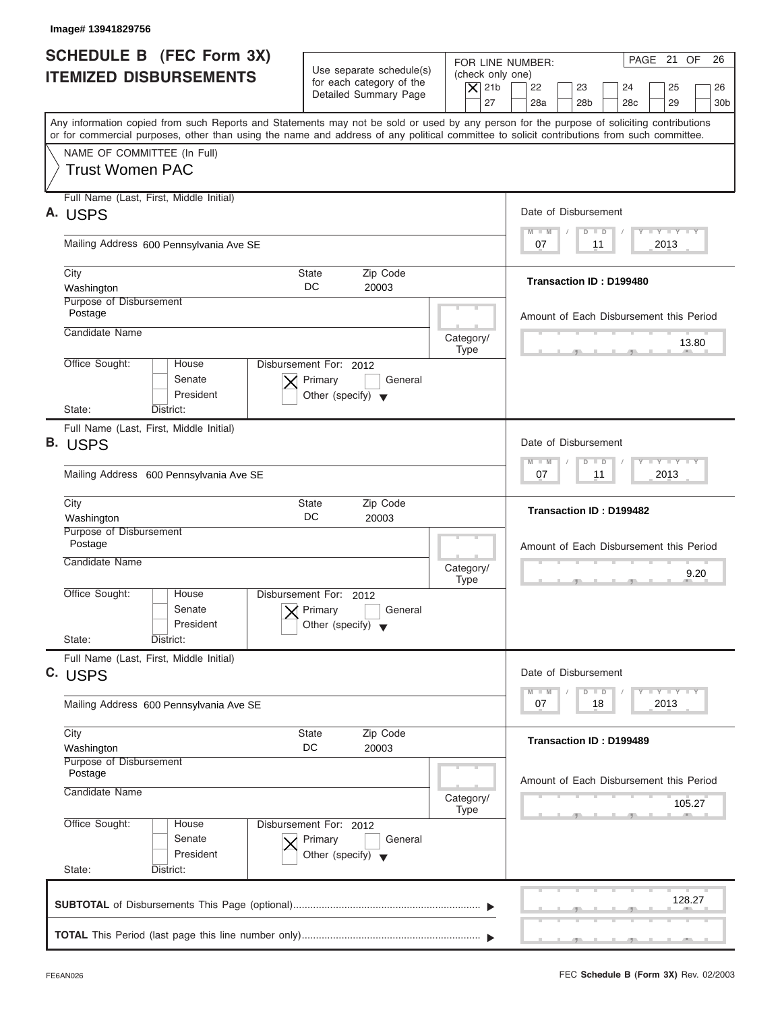| Image# 13941829756                                                                                                                                                                                                                                                                      |                                                                                      |                                                                  |                                                                                                                                                  |
|-----------------------------------------------------------------------------------------------------------------------------------------------------------------------------------------------------------------------------------------------------------------------------------------|--------------------------------------------------------------------------------------|------------------------------------------------------------------|--------------------------------------------------------------------------------------------------------------------------------------------------|
| <b>SCHEDULE B</b> (FEC Form 3X)<br><b>ITEMIZED DISBURSEMENTS</b>                                                                                                                                                                                                                        | Use separate schedule(s)<br>for each category of the<br>Detailed Summary Page        | FOR LINE NUMBER:<br>(check only one)<br>$\vert$ $\chi$ 21b<br>27 | PAGE 21 OF<br>26<br>22<br>23<br>24<br>25<br>26<br>28a<br>28 <sub>b</sub><br>28 <sub>c</sub><br>29<br>30 <sub>b</sub>                             |
| Any information copied from such Reports and Statements may not be sold or used by any person for the purpose of soliciting contributions<br>or for commercial purposes, other than using the name and address of any political committee to solicit contributions from such committee. |                                                                                      |                                                                  |                                                                                                                                                  |
| NAME OF COMMITTEE (In Full)<br><b>Trust Women PAC</b>                                                                                                                                                                                                                                   |                                                                                      |                                                                  |                                                                                                                                                  |
| Full Name (Last, First, Middle Initial)<br>A. USPS                                                                                                                                                                                                                                      |                                                                                      |                                                                  | Date of Disbursement                                                                                                                             |
| Mailing Address 600 Pennsylvania Ave SE                                                                                                                                                                                                                                                 |                                                                                      |                                                                  | $T - Y = T - Y = T - Y$<br>$M - M$<br>$\Box$<br>$\Box$<br>07<br>2013<br>11                                                                       |
| City<br>Washington                                                                                                                                                                                                                                                                      | Zip Code<br><b>State</b><br>DC.<br>20003                                             |                                                                  | Transaction ID: D199480                                                                                                                          |
| Purpose of Disbursement<br>Postage                                                                                                                                                                                                                                                      |                                                                                      |                                                                  | Amount of Each Disbursement this Period                                                                                                          |
| Candidate Name                                                                                                                                                                                                                                                                          |                                                                                      | Category/<br><b>Type</b>                                         | 13.80                                                                                                                                            |
| Office Sought:<br>House<br>Senate<br>President                                                                                                                                                                                                                                          | Disbursement For: 2012<br>Primary<br>General<br>Other (specify) $\blacktriangledown$ |                                                                  |                                                                                                                                                  |
| State:<br>District:                                                                                                                                                                                                                                                                     |                                                                                      |                                                                  |                                                                                                                                                  |
| Full Name (Last, First, Middle Initial)<br><b>B. USPS</b>                                                                                                                                                                                                                               |                                                                                      |                                                                  | Date of Disbursement                                                                                                                             |
| Mailing Address 600 Pennsylvania Ave SE                                                                                                                                                                                                                                                 |                                                                                      |                                                                  | $\blacksquare \neg \mathsf{Y} \neg \blacksquare \neg \mathsf{Y} \neg \blacksquare \neg \mathsf{Y}$<br>$M - M$<br>$\Box$<br>D<br>2013<br>07<br>11 |
| City<br>Washington                                                                                                                                                                                                                                                                      | Zip Code<br><b>State</b><br>DC<br>20003                                              |                                                                  | Transaction ID: D199482                                                                                                                          |
| Purpose of Disbursement<br>Postage                                                                                                                                                                                                                                                      |                                                                                      |                                                                  | Amount of Each Disbursement this Period                                                                                                          |
| Candidate Name                                                                                                                                                                                                                                                                          |                                                                                      | Category/<br><b>Type</b>                                         | 9.20<br>__                                                                                                                                       |
| Office Sought:<br>House<br>Senate<br>President                                                                                                                                                                                                                                          | Disbursement For:<br>2012<br>Primary<br>General<br>Other (specify)                   |                                                                  |                                                                                                                                                  |
| State:<br>District:                                                                                                                                                                                                                                                                     |                                                                                      |                                                                  |                                                                                                                                                  |
| Full Name (Last, First, Middle Initial)<br>C. USPS                                                                                                                                                                                                                                      |                                                                                      |                                                                  | Date of Disbursement                                                                                                                             |
| Mailing Address 600 Pennsylvania Ave SE                                                                                                                                                                                                                                                 |                                                                                      |                                                                  | $\mathbf{I}$ $\mathbf{Y}$ $\mathbf{I}$ $\mathbf{Y}$ $\mathbf{I}$ $\mathbf{Y}$<br>$M - M$<br>D<br>$\Box$<br>2013<br>07<br>18                      |
| City<br>Washington                                                                                                                                                                                                                                                                      | Zip Code<br>State<br>DC<br>20003                                                     |                                                                  | Transaction ID: D199489                                                                                                                          |
| Purpose of Disbursement<br>Postage<br>Candidate Name                                                                                                                                                                                                                                    |                                                                                      | Category/                                                        | Amount of Each Disbursement this Period<br>105.27                                                                                                |
| Office Sought:<br>House<br>Senate<br>President<br>State:<br>District:                                                                                                                                                                                                                   | Disbursement For: 2012<br>Primary<br>General<br>Other (specify) $\blacktriangledown$ | <b>Type</b>                                                      |                                                                                                                                                  |
|                                                                                                                                                                                                                                                                                         |                                                                                      |                                                                  | 128.27                                                                                                                                           |
|                                                                                                                                                                                                                                                                                         |                                                                                      |                                                                  |                                                                                                                                                  |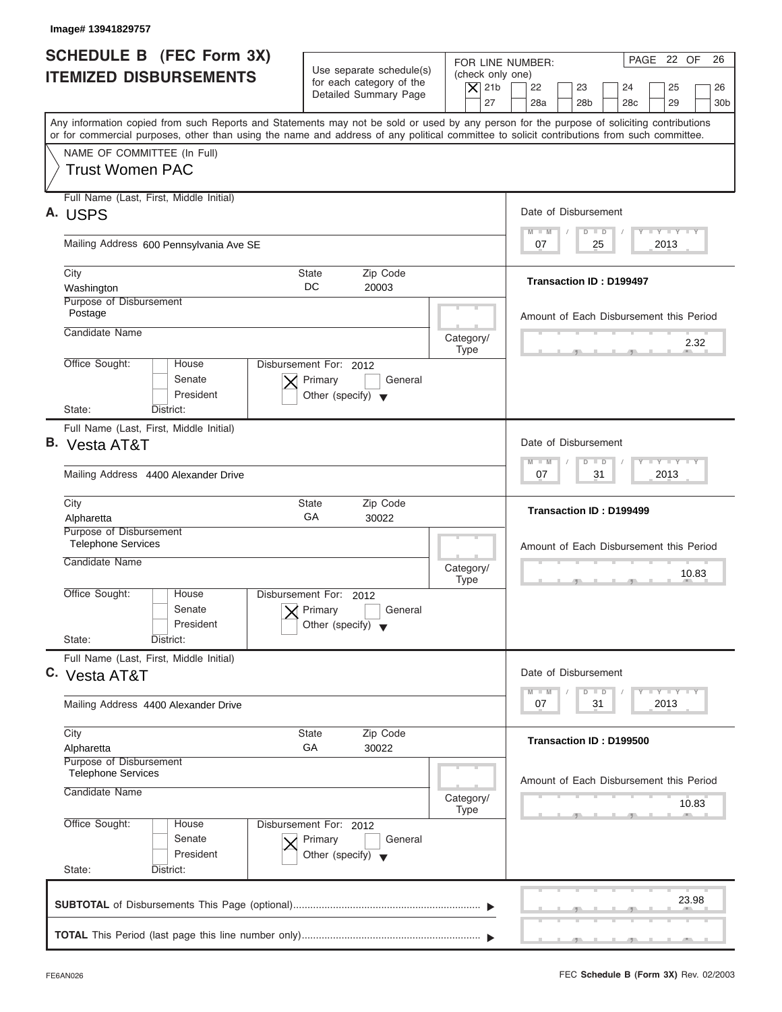| <b>SCHEDULE B</b> (FEC Form 3X)<br><b>ITEMIZED DISBURSEMENTS</b>       | Use separate schedule(s)<br>for each category of the<br>Detailed Summary Page        | PAGE 22 OF<br>26<br>FOR LINE NUMBER:<br>(check only one)<br>$\overline{X}$ 21b<br>22<br>23<br>24<br>25<br>26<br>27<br>28a<br>28 <sub>b</sub><br>29<br>28 <sub>c</sub><br>30 <sub>b</sub>                                                                                                |
|------------------------------------------------------------------------|--------------------------------------------------------------------------------------|-----------------------------------------------------------------------------------------------------------------------------------------------------------------------------------------------------------------------------------------------------------------------------------------|
|                                                                        |                                                                                      | Any information copied from such Reports and Statements may not be sold or used by any person for the purpose of soliciting contributions<br>or for commercial purposes, other than using the name and address of any political committee to solicit contributions from such committee. |
| NAME OF COMMITTEE (In Full)<br><b>Trust Women PAC</b>                  |                                                                                      |                                                                                                                                                                                                                                                                                         |
| Full Name (Last, First, Middle Initial)<br>A. USPS                     |                                                                                      | Date of Disbursement                                                                                                                                                                                                                                                                    |
| Mailing Address 600 Pennsylvania Ave SE                                |                                                                                      | $T - Y = T - Y = T - Y$<br>$M - M$<br>$D$ $D$<br>2013<br>07<br>25                                                                                                                                                                                                                       |
| City<br>Washington                                                     | Zip Code<br>State<br>DC<br>20003                                                     | <b>Transaction ID: D199497</b>                                                                                                                                                                                                                                                          |
| Purpose of Disbursement<br>Postage                                     |                                                                                      | Amount of Each Disbursement this Period                                                                                                                                                                                                                                                 |
| Candidate Name                                                         |                                                                                      | Category/<br>2.32<br>Type                                                                                                                                                                                                                                                               |
| Office Sought:<br>House<br>Senate<br>President<br>State:<br>District:  | Disbursement For: 2012<br>Primary<br>General<br>Other (specify) $\blacktriangledown$ |                                                                                                                                                                                                                                                                                         |
| Full Name (Last, First, Middle Initial)                                |                                                                                      |                                                                                                                                                                                                                                                                                         |
| <b>B.</b> Vesta AT&T                                                   |                                                                                      | Date of Disbursement<br><b>LEYTEY LEY</b><br>$M - M$<br>$D$ $D$                                                                                                                                                                                                                         |
| Mailing Address 4400 Alexander Drive                                   |                                                                                      | 2013<br>07<br>31                                                                                                                                                                                                                                                                        |
| City<br>Alpharetta                                                     | Zip Code<br><b>State</b><br>GA<br>30022                                              | Transaction ID: D199499                                                                                                                                                                                                                                                                 |
| Purpose of Disbursement<br><b>Telephone Services</b>                   |                                                                                      | Amount of Each Disbursement this Period                                                                                                                                                                                                                                                 |
| Candidate Name                                                         |                                                                                      | Category/<br>10.83<br><b>Type</b>                                                                                                                                                                                                                                                       |
| Office Sought:<br>House<br>Senate<br>President                         | Disbursement For:<br>2012<br>Primary<br>General<br>Other (specify)                   |                                                                                                                                                                                                                                                                                         |
| State:<br>District:<br>Full Name (Last, First, Middle Initial)         |                                                                                      |                                                                                                                                                                                                                                                                                         |
| C. Vesta AT&T                                                          |                                                                                      | Date of Disbursement                                                                                                                                                                                                                                                                    |
| Mailing Address 4400 Alexander Drive                                   |                                                                                      | $T - Y$ $T - Y$<br>$M - M$<br>D<br>$\Box$<br>2013<br>07<br>31                                                                                                                                                                                                                           |
| City<br>Alpharetta                                                     | Zip Code<br>State<br>GA<br>30022                                                     | Transaction ID: D199500                                                                                                                                                                                                                                                                 |
| Purpose of Disbursement<br><b>Telephone Services</b><br>Candidate Name |                                                                                      | Amount of Each Disbursement this Period<br>Category/<br>10.83                                                                                                                                                                                                                           |
| Office Sought:<br>House<br>Senate<br>President<br>State:<br>District:  | Disbursement For: 2012<br>Primary<br>General<br>Other (specify) $\blacktriangledown$ | <b>Type</b>                                                                                                                                                                                                                                                                             |
|                                                                        |                                                                                      | 23.98                                                                                                                                                                                                                                                                                   |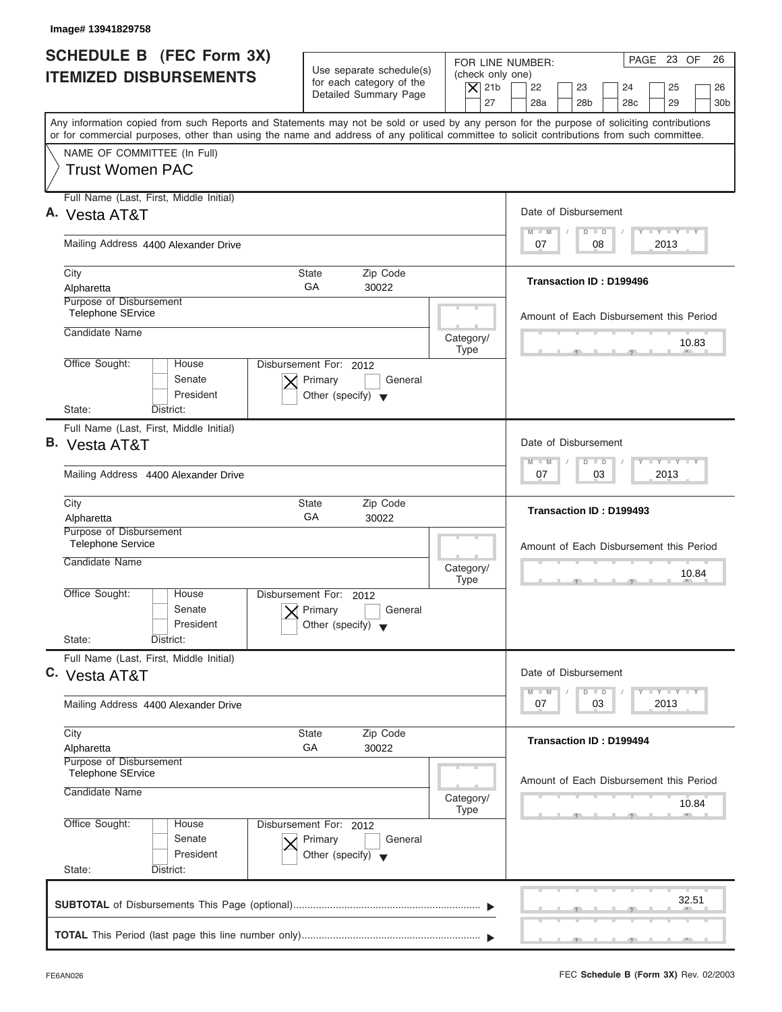| Image# 13941829758                                                                                                                                                                                                                                                                      |                                                                                      |                                                                  |                                                                                                                      |
|-----------------------------------------------------------------------------------------------------------------------------------------------------------------------------------------------------------------------------------------------------------------------------------------|--------------------------------------------------------------------------------------|------------------------------------------------------------------|----------------------------------------------------------------------------------------------------------------------|
| <b>SCHEDULE B</b> (FEC Form 3X)<br><b>ITEMIZED DISBURSEMENTS</b>                                                                                                                                                                                                                        | Use separate schedule(s)<br>for each category of the<br>Detailed Summary Page        | FOR LINE NUMBER:<br>(check only one)<br>$\overline{X}$ 21b<br>27 | PAGE 23 OF<br>26<br>22<br>23<br>24<br>25<br>26<br>28a<br>28 <sub>b</sub><br>28 <sub>c</sub><br>29<br>30 <sub>b</sub> |
| Any information copied from such Reports and Statements may not be sold or used by any person for the purpose of soliciting contributions<br>or for commercial purposes, other than using the name and address of any political committee to solicit contributions from such committee. |                                                                                      |                                                                  |                                                                                                                      |
| NAME OF COMMITTEE (In Full)<br><b>Trust Women PAC</b>                                                                                                                                                                                                                                   |                                                                                      |                                                                  |                                                                                                                      |
| Full Name (Last, First, Middle Initial)<br>A. Vesta AT&T                                                                                                                                                                                                                                |                                                                                      |                                                                  | Date of Disbursement                                                                                                 |
| Mailing Address 4400 Alexander Drive                                                                                                                                                                                                                                                    |                                                                                      |                                                                  | $T - Y = T - Y = T - Y$<br>$D$ $D$<br>$M - M$<br>08<br>2013<br>07                                                    |
| City<br>Alpharetta                                                                                                                                                                                                                                                                      | <b>State</b><br>Zip Code<br>GA<br>30022                                              |                                                                  | <b>Transaction ID: D199496</b>                                                                                       |
| Purpose of Disbursement<br><b>Telephone SErvice</b>                                                                                                                                                                                                                                     |                                                                                      |                                                                  | Amount of Each Disbursement this Period                                                                              |
| Candidate Name<br>Office Sought:<br>House                                                                                                                                                                                                                                               | Disbursement For: 2012                                                               | Category/<br><b>Type</b>                                         | 10.83                                                                                                                |
| Senate<br>President                                                                                                                                                                                                                                                                     | Primary<br>General<br>Other (specify) $\blacktriangledown$                           |                                                                  |                                                                                                                      |
| State:<br>District:<br>Full Name (Last, First, Middle Initial)                                                                                                                                                                                                                          |                                                                                      |                                                                  |                                                                                                                      |
| <b>B.</b> Vesta AT&T                                                                                                                                                                                                                                                                    |                                                                                      |                                                                  | Date of Disbursement<br>$-1 - Y - 1 - Y - 1 - Y$<br>$M - M$<br>$D$ $D$                                               |
| Mailing Address 4400 Alexander Drive                                                                                                                                                                                                                                                    |                                                                                      |                                                                  | 2013<br>07<br>03                                                                                                     |
| City<br>Alpharetta                                                                                                                                                                                                                                                                      | Zip Code<br><b>State</b><br>GA<br>30022                                              |                                                                  | Transaction ID: D199493                                                                                              |
| Purpose of Disbursement<br><b>Telephone Service</b><br>Candidate Name                                                                                                                                                                                                                   |                                                                                      |                                                                  | Amount of Each Disbursement this Period                                                                              |
|                                                                                                                                                                                                                                                                                         |                                                                                      | Category/<br><b>Type</b>                                         | 10.84<br>$-7$                                                                                                        |
| Office Sought:<br>House<br>Senate<br>President                                                                                                                                                                                                                                          | Disbursement For: 2012<br>Primary<br>General<br>Other (specify)                      |                                                                  |                                                                                                                      |
| State:<br>District:                                                                                                                                                                                                                                                                     |                                                                                      |                                                                  |                                                                                                                      |
| Full Name (Last, First, Middle Initial)<br>C. Vesta AT&T                                                                                                                                                                                                                                |                                                                                      |                                                                  | Date of Disbursement                                                                                                 |
| Mailing Address 4400 Alexander Drive                                                                                                                                                                                                                                                    |                                                                                      |                                                                  | $T - Y = T - Y = T - Y$<br>$M - M$<br>$\overline{D}$<br>$\Box$<br>2013<br>07<br>03                                   |
| City<br>Alpharetta                                                                                                                                                                                                                                                                      | Zip Code<br><b>State</b><br>GA<br>30022                                              |                                                                  | <b>Transaction ID: D199494</b>                                                                                       |
| Purpose of Disbursement<br><b>Telephone SErvice</b><br>Candidate Name                                                                                                                                                                                                                   |                                                                                      | Category/                                                        | Amount of Each Disbursement this Period<br>10.84                                                                     |
| Office Sought:<br>House<br>Senate<br>President<br>State:<br>District:                                                                                                                                                                                                                   | Disbursement For: 2012<br>Primary<br>General<br>Other (specify) $\blacktriangledown$ | <b>Type</b>                                                      |                                                                                                                      |
|                                                                                                                                                                                                                                                                                         |                                                                                      |                                                                  | 32.51                                                                                                                |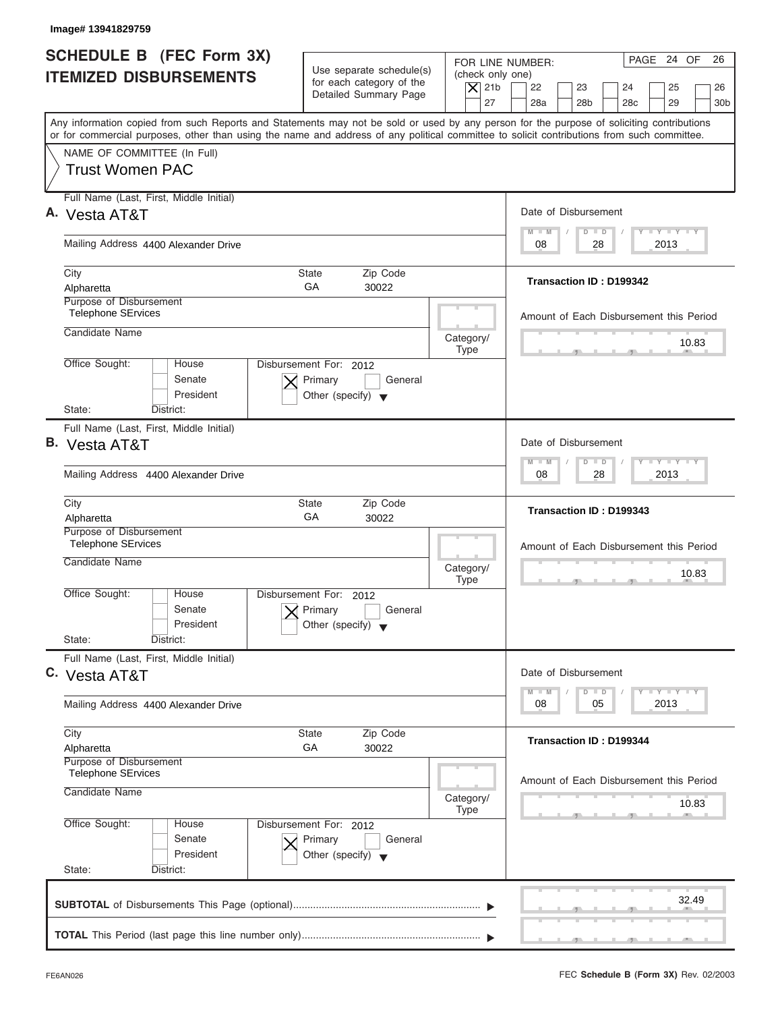| Image# 13941829759                                                     |                                                                                      |                                                                                                                                                                                                                                                                                         |
|------------------------------------------------------------------------|--------------------------------------------------------------------------------------|-----------------------------------------------------------------------------------------------------------------------------------------------------------------------------------------------------------------------------------------------------------------------------------------|
| <b>SCHEDULE B</b> (FEC Form 3X)<br><b>ITEMIZED DISBURSEMENTS</b>       | Use separate schedule(s)<br>for each category of the<br>Detailed Summary Page        | PAGE 24 OF<br>26<br>FOR LINE NUMBER:<br>(check only one)<br>$\overline{X}$ 21b<br>22<br>23<br>25<br>24<br>26<br>27<br>28a<br>28 <sub>b</sub><br>28 <sub>c</sub><br>29<br>30 <sub>b</sub>                                                                                                |
|                                                                        |                                                                                      | Any information copied from such Reports and Statements may not be sold or used by any person for the purpose of soliciting contributions<br>or for commercial purposes, other than using the name and address of any political committee to solicit contributions from such committee. |
| NAME OF COMMITTEE (In Full)<br><b>Trust Women PAC</b>                  |                                                                                      |                                                                                                                                                                                                                                                                                         |
| Full Name (Last, First, Middle Initial)<br>A. Vesta AT&T               |                                                                                      | Date of Disbursement                                                                                                                                                                                                                                                                    |
| Mailing Address 4400 Alexander Drive                                   |                                                                                      | $T - Y$ $T - Y$ $T - Y$<br>$D$ $D$<br>$M - M$<br>2013<br>08<br>28                                                                                                                                                                                                                       |
| City<br>Alpharetta                                                     | <b>State</b><br>Zip Code<br>GA<br>30022                                              | Transaction ID: D199342                                                                                                                                                                                                                                                                 |
| Purpose of Disbursement<br><b>Telephone SErvices</b>                   |                                                                                      | Amount of Each Disbursement this Period                                                                                                                                                                                                                                                 |
| Candidate Name                                                         |                                                                                      | Category/<br>10.83<br><b>Type</b>                                                                                                                                                                                                                                                       |
| Office Sought:<br>House<br>Senate<br>President                         | Disbursement For: 2012<br>Primary<br>General<br>Other (specify) $\blacktriangledown$ |                                                                                                                                                                                                                                                                                         |
| State:<br>District:<br>Full Name (Last, First, Middle Initial)         |                                                                                      |                                                                                                                                                                                                                                                                                         |
| <b>B.</b> Vesta AT&T                                                   |                                                                                      | Date of Disbursement                                                                                                                                                                                                                                                                    |
| Mailing Address 4400 Alexander Drive                                   |                                                                                      | $-1 - Y - 1 - Y - 1 - Y$<br>$M - M$<br>$D$ $D$<br>2013<br>08<br>28                                                                                                                                                                                                                      |
| City<br>Alpharetta                                                     | Zip Code<br><b>State</b><br>GA<br>30022                                              | Transaction ID: D199343                                                                                                                                                                                                                                                                 |
| Purpose of Disbursement<br><b>Telephone SErvices</b><br>Candidate Name |                                                                                      | Amount of Each Disbursement this Period<br>Category/<br>10.83<br><b>Type</b><br>$-7$                                                                                                                                                                                                    |
| Office Sought:<br>House<br>Senate<br>President<br>State:<br>District:  | Disbursement For:<br>2012<br>Primary<br>General<br>Other (specify)                   |                                                                                                                                                                                                                                                                                         |
| Full Name (Last, First, Middle Initial)<br>C. Vesta AT&T               |                                                                                      | Date of Disbursement                                                                                                                                                                                                                                                                    |
| Mailing Address 4400 Alexander Drive                                   |                                                                                      | <b>LY LY LY</b><br>$M - M$<br>$\Box$<br>D<br>2013<br>08<br>05                                                                                                                                                                                                                           |
| City<br>Alpharetta                                                     | Zip Code<br>State<br>GA<br>30022                                                     | <b>Transaction ID: D199344</b>                                                                                                                                                                                                                                                          |
| Purpose of Disbursement<br><b>Telephone SErvices</b>                   |                                                                                      | Amount of Each Disbursement this Period                                                                                                                                                                                                                                                 |
| Candidate Name                                                         |                                                                                      | Category/<br>10.83<br><b>Type</b>                                                                                                                                                                                                                                                       |
| Office Sought:<br>House<br>Senate<br>President<br>State:<br>District:  | Disbursement For: 2012<br>Primary<br>General<br>Other (specify) $\blacktriangledown$ |                                                                                                                                                                                                                                                                                         |
|                                                                        |                                                                                      | 32.49                                                                                                                                                                                                                                                                                   |
|                                                                        |                                                                                      |                                                                                                                                                                                                                                                                                         |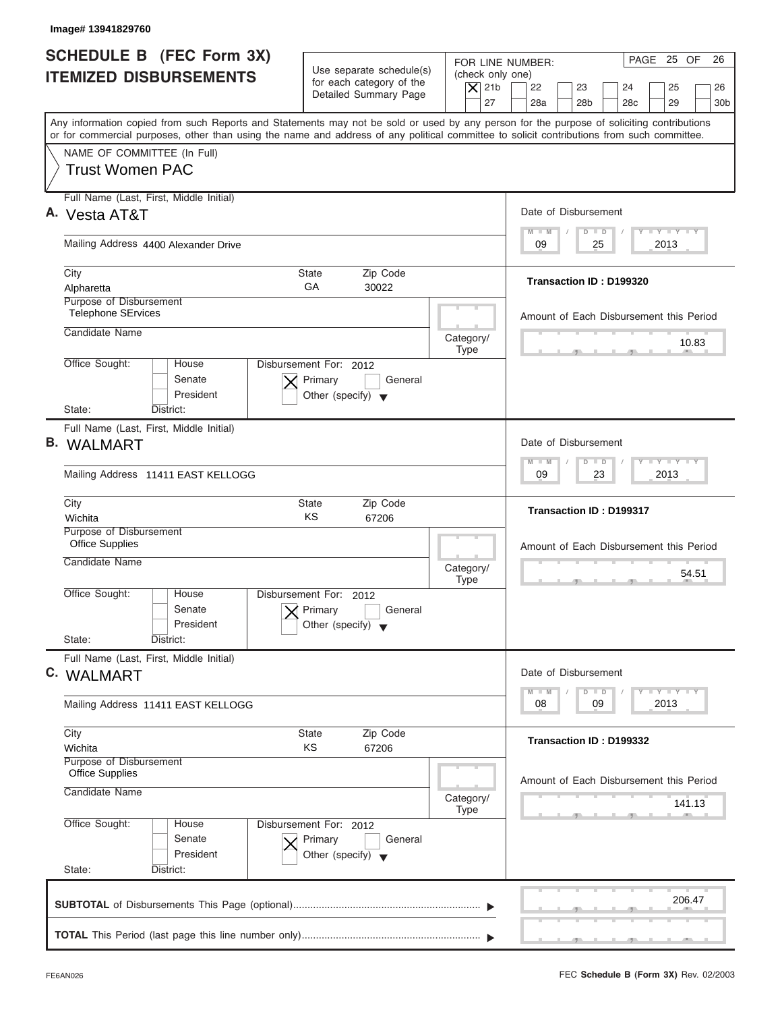| Image# 13941829760                                                                                                                                                                                                                                                                      |                                                                                      |                                                                  |                                                                                                                      |
|-----------------------------------------------------------------------------------------------------------------------------------------------------------------------------------------------------------------------------------------------------------------------------------------|--------------------------------------------------------------------------------------|------------------------------------------------------------------|----------------------------------------------------------------------------------------------------------------------|
| SCHEDULE B (FEC Form 3X)<br><b>ITEMIZED DISBURSEMENTS</b>                                                                                                                                                                                                                               | Use separate schedule(s)<br>for each category of the<br>Detailed Summary Page        | FOR LINE NUMBER:<br>(check only one)<br>$\overline{X}$ 21b<br>27 | PAGE 25 OF<br>26<br>22<br>23<br>24<br>25<br>26<br>28a<br>28 <sub>b</sub><br>28 <sub>c</sub><br>29<br>30 <sub>b</sub> |
| Any information copied from such Reports and Statements may not be sold or used by any person for the purpose of soliciting contributions<br>or for commercial purposes, other than using the name and address of any political committee to solicit contributions from such committee. |                                                                                      |                                                                  |                                                                                                                      |
| NAME OF COMMITTEE (In Full)<br><b>Trust Women PAC</b>                                                                                                                                                                                                                                   |                                                                                      |                                                                  |                                                                                                                      |
| Full Name (Last, First, Middle Initial)<br>A. Vesta AT&T                                                                                                                                                                                                                                |                                                                                      |                                                                  | Date of Disbursement                                                                                                 |
| Mailing Address 4400 Alexander Drive                                                                                                                                                                                                                                                    |                                                                                      |                                                                  | $T - Y = T - Y = T - Y$<br>$M - M$<br>$D$ $D$<br>2013<br>09<br>25                                                    |
| City<br>Alpharetta                                                                                                                                                                                                                                                                      | <b>State</b><br>Zip Code<br>GA<br>30022                                              |                                                                  | Transaction ID: D199320                                                                                              |
| Purpose of Disbursement<br><b>Telephone SErvices</b>                                                                                                                                                                                                                                    |                                                                                      |                                                                  | Amount of Each Disbursement this Period                                                                              |
| Candidate Name                                                                                                                                                                                                                                                                          |                                                                                      | Category/<br><b>Type</b>                                         | 10.83                                                                                                                |
| Office Sought:<br>House<br>Senate<br>President                                                                                                                                                                                                                                          | Disbursement For: 2012<br>Primary<br>General<br>Other (specify) $\blacktriangledown$ |                                                                  |                                                                                                                      |
| State:<br>District:                                                                                                                                                                                                                                                                     |                                                                                      |                                                                  |                                                                                                                      |
| Full Name (Last, First, Middle Initial)<br><b>B.</b> WALMART                                                                                                                                                                                                                            |                                                                                      |                                                                  | Date of Disbursement                                                                                                 |
| Mailing Address 11411 EAST KELLOGG                                                                                                                                                                                                                                                      |                                                                                      |                                                                  | $-1 - Y - 1 - Y - 1 - Y$<br>$M - M$<br>$D$ $D$<br>2013<br>09<br>23                                                   |
| City<br>Wichita                                                                                                                                                                                                                                                                         | Zip Code<br><b>State</b><br>KS<br>67206                                              |                                                                  | <b>Transaction ID: D199317</b>                                                                                       |
| Purpose of Disbursement<br><b>Office Supplies</b>                                                                                                                                                                                                                                       |                                                                                      |                                                                  | Amount of Each Disbursement this Period                                                                              |
| Candidate Name                                                                                                                                                                                                                                                                          |                                                                                      | Category/<br><b>Type</b>                                         | 54.51<br>$-7$<br>$-5$                                                                                                |
| Office Sought:<br>House<br>Senate<br>President                                                                                                                                                                                                                                          | Disbursement For: 2012<br>Primary<br>General<br>Other (specify)                      |                                                                  |                                                                                                                      |
| State:<br>District:                                                                                                                                                                                                                                                                     |                                                                                      |                                                                  |                                                                                                                      |
| Full Name (Last, First, Middle Initial)<br>C. WALMART                                                                                                                                                                                                                                   |                                                                                      |                                                                  | Date of Disbursement                                                                                                 |
| Mailing Address 11411 EAST KELLOGG                                                                                                                                                                                                                                                      |                                                                                      |                                                                  | $T - Y$ $T - Y$ $T - Y$<br>$M - M$<br>$\overline{D}$<br>$\Box$<br>2013<br>08<br>09                                   |
| City<br>Wichita                                                                                                                                                                                                                                                                         | Zip Code<br><b>State</b><br>ΚS<br>67206                                              |                                                                  | Transaction ID: D199332                                                                                              |
| Purpose of Disbursement<br><b>Office Supplies</b><br>Candidate Name                                                                                                                                                                                                                     |                                                                                      | Category/                                                        | Amount of Each Disbursement this Period                                                                              |
|                                                                                                                                                                                                                                                                                         |                                                                                      | <b>Type</b>                                                      | 141.13                                                                                                               |
| Office Sought:<br>House<br>Senate<br>President                                                                                                                                                                                                                                          | Disbursement For: 2012<br>Primary<br>General<br>Other (specify) $\blacktriangledown$ |                                                                  |                                                                                                                      |
| State:<br>District:                                                                                                                                                                                                                                                                     |                                                                                      |                                                                  |                                                                                                                      |
|                                                                                                                                                                                                                                                                                         |                                                                                      |                                                                  | 206.47                                                                                                               |
|                                                                                                                                                                                                                                                                                         |                                                                                      |                                                                  |                                                                                                                      |